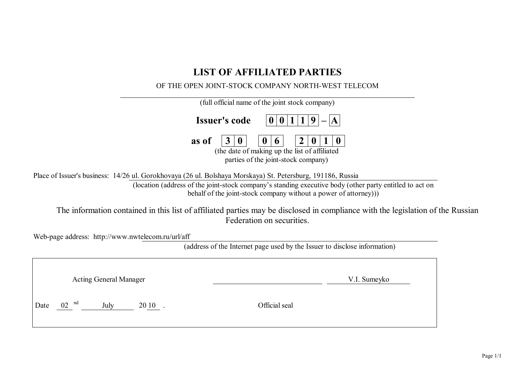# **LIST OF AFFILIATED PARTIES**

# OF THE OPEN JOINT-STOCK COMPANY NORTH-WEST TELECOM

| (full official name of the joint stock company)                                                                                                                                                                                                                                                                                                                                                                                                           |
|-----------------------------------------------------------------------------------------------------------------------------------------------------------------------------------------------------------------------------------------------------------------------------------------------------------------------------------------------------------------------------------------------------------------------------------------------------------|
| <b>Issuer's code</b>                                                                                                                                                                                                                                                                                                                                                                                                                                      |
| as of<br>(the date of making up the list of affiliated<br>parties of the joint-stock company)                                                                                                                                                                                                                                                                                                                                                             |
| Place of Issuer's business: 14/26 ul. Gorokhovaya (26 ul. Bolshaya Morskaya) St. Petersburg, 191186, Russia<br>(location (address of the joint-stock company's standing executive body (other party entitled to act on<br>behalf of the joint-stock company without a power of attorney))<br>The information contained in this list of affiliated parties may be disclosed in compliance with the legislation of the Russian<br>Federation on securities. |
| Web-page address: http://www.nwtelecom.ru/url/aff<br>(address of the Internet page used by the Issuer to disclose information)                                                                                                                                                                                                                                                                                                                            |
| <b>Acting General Manager</b><br>V.I. Sumeyko                                                                                                                                                                                                                                                                                                                                                                                                             |

Date 02 <sup>nd</sup> July 20 10 . Official seal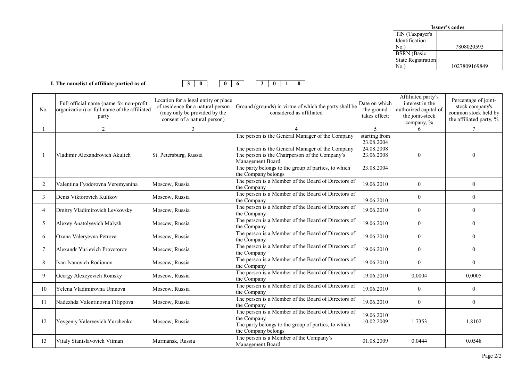| <b>Issuer's codes</b>     |               |  |  |  |  |  |
|---------------------------|---------------|--|--|--|--|--|
| TIN (Taxpayer's           |               |  |  |  |  |  |
| Identification            |               |  |  |  |  |  |
| No.)                      | 7808020593    |  |  |  |  |  |
| <b>BSRN</b> (Basic        |               |  |  |  |  |  |
| <b>State Registration</b> |               |  |  |  |  |  |
| Jο.                       | 1027809169849 |  |  |  |  |  |



| No.            | Full official name (name for non-profit<br>organization) or full name of the affiliated<br>party | Location for a legal entity or place<br>of residence for a natural person<br>(may only be provided by the<br>consent of a natural person) | Ground (grounds) in virtue of which the party shall be<br>considered as affiliated                                                                                                                                                                       | Date on which<br>the ground<br>takes effect:                          | Affiliated party's<br>interest in the<br>authorized capital of<br>the joint-stock<br>company, % | Percentage of joint-<br>stock company's<br>common stock held by<br>the affiliated party, % |
|----------------|--------------------------------------------------------------------------------------------------|-------------------------------------------------------------------------------------------------------------------------------------------|----------------------------------------------------------------------------------------------------------------------------------------------------------------------------------------------------------------------------------------------------------|-----------------------------------------------------------------------|-------------------------------------------------------------------------------------------------|--------------------------------------------------------------------------------------------|
|                | $\mathfrak{D}$                                                                                   | $\mathcal{F}$                                                                                                                             |                                                                                                                                                                                                                                                          | $\overline{5}$                                                        | 6                                                                                               |                                                                                            |
|                | Vladimir Alexandrovich Akulich                                                                   | St. Petersburg, Russia                                                                                                                    | The person is the General Manager of the Company<br>The person is the General Manager of the Company<br>The person is the Chairperson of the Company's<br>Management Board<br>The party belongs to the group of parties, to which<br>the Company belongs | starting from<br>23.08.2004<br>24.08.2008<br>23.06.2008<br>23.08.2004 | $\Omega$                                                                                        | 0                                                                                          |
| $\overline{2}$ | Valentina Fyodorovna Veremyanina                                                                 | Moscow, Russia                                                                                                                            | The person is a Member of the Board of Directors of<br>the Company                                                                                                                                                                                       | 19.06.2010                                                            | $\overline{0}$                                                                                  | $\overline{0}$                                                                             |
| $\mathfrak{Z}$ | Denis Viktorovich Kulikov                                                                        | Moscow, Russia                                                                                                                            | The person is a Member of the Board of Directors of<br>the Company                                                                                                                                                                                       | 19.06.2010                                                            | $\mathbf{0}$                                                                                    | $\overline{0}$                                                                             |
| 4              | Dmitry Vladimirovich Levkovsky                                                                   | Moscow, Russia                                                                                                                            | The person is a Member of the Board of Directors of<br>the Company                                                                                                                                                                                       | 19.06.2010                                                            | $\mathbf{0}$                                                                                    | $\overline{0}$                                                                             |
| 5              | Alexey Anatolyevich Malysh                                                                       | Moscow, Russia                                                                                                                            | The person is a Member of the Board of Directors of<br>the Company                                                                                                                                                                                       | 19.06.2010                                                            | $\mathbf{0}$                                                                                    | $\theta$                                                                                   |
| 6              | Oxana Valeryevna Petrova                                                                         | Moscow, Russia                                                                                                                            | The person is a Member of the Board of Directors of<br>the Company                                                                                                                                                                                       | 19.06.2010                                                            | $\mathbf{0}$                                                                                    | $\theta$                                                                                   |
| 7              | Alexandr Yurievich Provotorov                                                                    | Moscow, Russia                                                                                                                            | The person is a Member of the Board of Directors of<br>the Company                                                                                                                                                                                       | 19.06.2010                                                            | $\mathbf{0}$                                                                                    | $\overline{0}$                                                                             |
| 8              | Ivan Ivanovich Rodionov                                                                          | Moscow, Russia                                                                                                                            | The person is a Member of the Board of Directors of<br>the Company                                                                                                                                                                                       | 19.06.2010                                                            | $\mathbf{0}$                                                                                    | $\overline{0}$                                                                             |
| 9              | Georgy Alexeyevich Romsky                                                                        | Moscow, Russia                                                                                                                            | The person is a Member of the Board of Directors of<br>the Company                                                                                                                                                                                       | 19.06.2010                                                            | 0,0004                                                                                          | 0,0005                                                                                     |
| 10             | Yelena Vladimirovna Umnova                                                                       | Moscow, Russia                                                                                                                            | The person is a Member of the Board of Directors of<br>the Company                                                                                                                                                                                       | 19.06.2010                                                            | $\boldsymbol{0}$                                                                                | 0                                                                                          |
| 11             | Nadezhda Valentinovna Filippova                                                                  | Moscow, Russia                                                                                                                            | The person is a Member of the Board of Directors of<br>the Company                                                                                                                                                                                       | 19.06.2010                                                            | $\mathbf{0}$                                                                                    | $\overline{0}$                                                                             |
| 12             | Yevgeniy Valeryevich Yurchenko                                                                   | Moscow, Russia                                                                                                                            | The person is a Member of the Board of Directors of<br>the Company<br>The party belongs to the group of parties, to which<br>the Company belongs                                                                                                         | 19.06.2010<br>10.02.2009                                              | 1.7353                                                                                          | 1.8102                                                                                     |
| 13             | Vitaly Stanislavovich Vitman                                                                     | Murmansk, Russia                                                                                                                          | The person is a Member of the Company's<br>Management Board                                                                                                                                                                                              | 01.08.2009                                                            | 0.0444                                                                                          | 0.0548                                                                                     |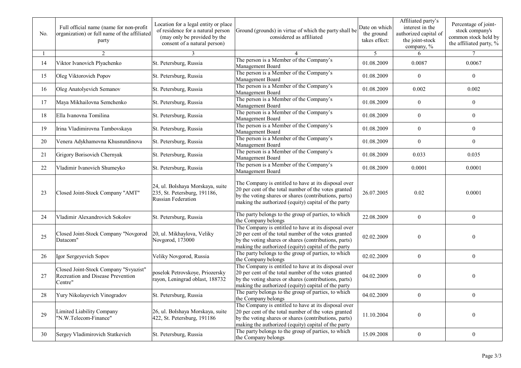| No. | Full official name (name for non-profit<br>organization) or full name of the affiliated<br>party | Location for a legal entity or place<br>of residence for a natural person<br>(may only be provided by the<br>consent of a natural person) | Ground (grounds) in virtue of which the party shall be<br>considered as affiliated                                                                                                                                           | Date on which<br>the ground<br>takes effect: | Affiliated party's<br>interest in the<br>authorized capital of<br>the joint-stock<br>company, % | Percentage of joint-<br>stock company's<br>common stock held by<br>the affiliated party, % |
|-----|--------------------------------------------------------------------------------------------------|-------------------------------------------------------------------------------------------------------------------------------------------|------------------------------------------------------------------------------------------------------------------------------------------------------------------------------------------------------------------------------|----------------------------------------------|-------------------------------------------------------------------------------------------------|--------------------------------------------------------------------------------------------|
|     | 2                                                                                                |                                                                                                                                           |                                                                                                                                                                                                                              | 5                                            | 6                                                                                               | 7                                                                                          |
| 14  | Viktor Ivanovich Plyachenko                                                                      | St. Petersburg, Russia                                                                                                                    | The person is a Member of the Company's<br>Management Board                                                                                                                                                                  | 01.08.2009                                   | 0.0087                                                                                          | 0.0067                                                                                     |
| 15  | Oleg Viktorovich Popov                                                                           | St. Petersburg, Russia                                                                                                                    | The person is a Member of the Company's<br>Management Board                                                                                                                                                                  | 01.08.2009                                   | $\boldsymbol{0}$                                                                                | $\boldsymbol{0}$                                                                           |
| 16  | Oleg Anatolyevich Semanov                                                                        | St. Petersburg, Russia                                                                                                                    | The person is a Member of the Company's<br>Management Board                                                                                                                                                                  | 01.08.2009                                   | 0.002                                                                                           | 0.002                                                                                      |
| 17  | Maya Mikhailovna Semchenko                                                                       | St. Petersburg, Russia                                                                                                                    | The person is a Member of the Company's<br>Management Board                                                                                                                                                                  | 01.08.2009                                   | $\mathbf{0}$                                                                                    | $\boldsymbol{0}$                                                                           |
| 18  | Ella Ivanovna Tomilina                                                                           | St. Petersburg, Russia                                                                                                                    | The person is a Member of the Company's<br>Management Board                                                                                                                                                                  | 01.08.2009                                   | $\mathbf{0}$                                                                                    | $\overline{0}$                                                                             |
| 19  | Irina Vladimirovna Tambovskaya                                                                   | St. Petersburg, Russia                                                                                                                    | The person is a Member of the Company's<br>Management Board                                                                                                                                                                  | 01.08.2009                                   | $\boldsymbol{0}$                                                                                | $\boldsymbol{0}$                                                                           |
| 20  | Venera Adykhamovna Khusnutdinova                                                                 | St. Petersburg, Russia                                                                                                                    | The person is a Member of the Company's<br>Management Board                                                                                                                                                                  | 01.08.2009                                   | $\boldsymbol{0}$                                                                                | $\boldsymbol{0}$                                                                           |
| 21  | Grigory Borisovich Chernyak                                                                      | St. Petersburg, Russia                                                                                                                    | The person is a Member of the Company's<br>Management Board                                                                                                                                                                  | 01.08.2009                                   | 0.033                                                                                           | 0.035                                                                                      |
| 22  | Vladimir Ivanovich Shumeyko                                                                      | St. Petersburg, Russia                                                                                                                    | The person is a Member of the Company's<br>Management Board                                                                                                                                                                  | 01.08.2009                                   | 0.0001                                                                                          | 0.0001                                                                                     |
| 23  | Closed Joint-Stock Company "AMT"                                                                 | 24, ul. Bolshaya Morskaya, suite<br>235, St. Petersburg, 191186,<br>Russian Federation                                                    | The Company is entitled to have at its disposal over<br>20 per cent of the total number of the votes granted<br>by the voting shares or shares (contributions, parts)<br>making the authorized (equity) capital of the party | 26.07.2005                                   | 0.02                                                                                            | 0.0001                                                                                     |
| 24  | Vladimir Alexandrovich Sokolov                                                                   | St. Petersburg, Russia                                                                                                                    | The party belongs to the group of parties, to which<br>the Company belongs                                                                                                                                                   | 22.08.2009                                   | $\boldsymbol{0}$                                                                                | $\boldsymbol{0}$                                                                           |
| 25  | Closed Joint-Stock Company "Novgorod<br>Datacom"                                                 | 20, ul. Mikhaylova, Veliky<br>Novgorod, 173000                                                                                            | The Company is entitled to have at its disposal over<br>20 per cent of the total number of the votes granted<br>by the voting shares or shares (contributions, parts)<br>making the authorized (equity) capital of the party | 02.02.2009                                   | $\mathbf{0}$                                                                                    | 0                                                                                          |
| 26  | Igor Sergeyevich Sopov                                                                           | Veliky Novgorod, Russia                                                                                                                   | The party belongs to the group of parties, to which<br>the Company belongs                                                                                                                                                   | 02.02.2009                                   | $\mathbf{0}$                                                                                    | $\mathbf{0}$                                                                               |
| 27  | Closed Joint-Stock Company "Svyazist"<br>Recreation and Disease Prevention<br>Centre"            | poselok Petrovskoye, Priozersky<br>rayon, Leningrad oblast, 188732                                                                        | The Company is entitled to have at its disposal over<br>20 per cent of the total number of the votes granted<br>by the voting shares or shares (contributions, parts)<br>making the authorized (equity) capital of the party | 04.02.2009                                   | $\mathbf{0}$                                                                                    | 0                                                                                          |
| 28  | Yury Nikolayevich Vinogradov                                                                     | St. Petersburg, Russia                                                                                                                    | The party belongs to the group of parties, to which<br>the Company belongs                                                                                                                                                   | 04.02.2009                                   | $\bf{0}$                                                                                        | $\theta$                                                                                   |
| 29  | Limited Liability Company<br>"N.W.Telecom-Finance"                                               | 26, ul. Bolshaya Morskaya, suite<br>422, St. Petersburg, 191186                                                                           | The Company is entitled to have at its disposal over<br>20 per cent of the total number of the votes granted<br>by the voting shares or shares (contributions, parts)<br>making the authorized (equity) capital of the party | 11.10.2004                                   | $\boldsymbol{0}$                                                                                | $\boldsymbol{0}$                                                                           |
| 30  | Sergey Vladimirovich Statkevich                                                                  | St. Petersburg, Russia                                                                                                                    | The party belongs to the group of parties, to which<br>the Company belongs                                                                                                                                                   | 15.09.2008                                   | $\boldsymbol{0}$                                                                                | $\boldsymbol{0}$                                                                           |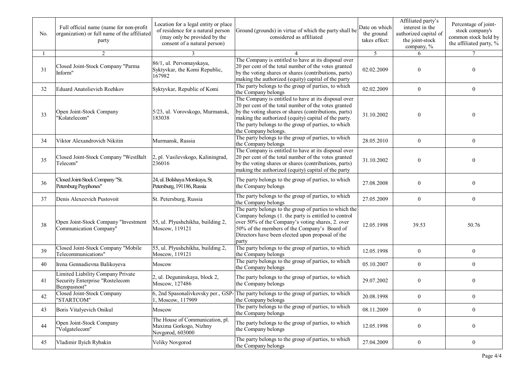| No. | Full official name (name for non-profit<br>organization) or full name of the affiliated<br>party | Location for a legal entity or place<br>of residence for a natural person<br>(may only be provided by the<br>consent of a natural person) | Ground (grounds) in virtue of which the party shall be<br>considered as affiliated                                                                                                                                                                                                                           | Date on which<br>the ground<br>takes effect: | Affiliated party's<br>interest in the<br>authorized capital of<br>the joint-stock<br>company, % | Percentage of joint-<br>stock company's<br>common stock held by<br>the affiliated party, % |
|-----|--------------------------------------------------------------------------------------------------|-------------------------------------------------------------------------------------------------------------------------------------------|--------------------------------------------------------------------------------------------------------------------------------------------------------------------------------------------------------------------------------------------------------------------------------------------------------------|----------------------------------------------|-------------------------------------------------------------------------------------------------|--------------------------------------------------------------------------------------------|
|     | 2                                                                                                | 3                                                                                                                                         |                                                                                                                                                                                                                                                                                                              | $\overline{5}$                               | 6                                                                                               |                                                                                            |
| 31  | Closed Joint-Stock Company "Parma<br>Inform"                                                     | 86/1, ul. Pervomayskaya,<br>Syktyvkar, the Komi Republic,<br>167982                                                                       | The Company is entitled to have at its disposal over<br>20 per cent of the total number of the votes granted<br>by the voting shares or shares (contributions, parts)<br>making the authorized (equity) capital of the party                                                                                 | 02.02.2009                                   | $\mathbf{0}$                                                                                    | 0                                                                                          |
| 32  | <b>Eduard Anatolievich Rozhkov</b>                                                               | Syktyvkar, Republic of Komi                                                                                                               | The party belongs to the group of parties, to which<br>the Company belongs                                                                                                                                                                                                                                   | 02.02.2009                                   | $\boldsymbol{0}$                                                                                | $\mathbf{0}$                                                                               |
| 33  | Open Joint-Stock Company<br>'Kolatelecom"                                                        | 5/23, ul. Vorovskogo, Murmansk,<br>183038                                                                                                 | The Company is entitled to have at its disposal over<br>20 per cent of the total number of the votes granted<br>by the voting shares or shares (contributions, parts)<br>making the authorized (equity) capital of the party.<br>The party belongs to the group of parties, to which<br>the Company belongs. | 31.10.2002                                   | $\Omega$                                                                                        | 0                                                                                          |
| 34  | Viktor Alexandrovich Nikitin                                                                     | Murmansk, Russia                                                                                                                          | The party belongs to the group of parties, to which<br>the Company belongs                                                                                                                                                                                                                                   | 28.05.2010                                   | $\boldsymbol{0}$                                                                                | $\mathbf{0}$                                                                               |
| 35  | Closed Joint-Stock Company "WestBalt<br>Telecom"                                                 | 2, pl. Vasilevskogo, Kaliningrad,<br>236016                                                                                               | The Company is entitled to have at its disposal over<br>20 per cent of the total number of the votes granted<br>by the voting shares or shares (contributions, parts)<br>making the authorized (equity) capital of the party                                                                                 | 31.10.2002                                   | $\theta$                                                                                        | 0                                                                                          |
| 36  | Closed Joint-Stock Company "St.<br>Petersburg Payphones"                                         | 24, ul. Bolshaya Morskaya, St.<br>Petersburg, 191186, Russia                                                                              | The party belongs to the group of parties, to which<br>the Company belongs                                                                                                                                                                                                                                   | 27.08.2008                                   | $\theta$                                                                                        | $\overline{0}$                                                                             |
| 37  | Denis Alexeevich Pustovoit                                                                       | St. Petersburg, Russia                                                                                                                    | The party belongs to the group of parties, to which<br>the Company belongs                                                                                                                                                                                                                                   | 27.05.2009                                   | $\boldsymbol{0}$                                                                                | $\mathbf{0}$                                                                               |
| 38  | Open Joint-Stock Company "Investment<br>Communication Company"                                   | 55, ul. Plyushchikha, building 2,<br>Moscow, 119121                                                                                       | The party belongs to the group of parties to which the<br>Company belongs (1. the party is entitled to control<br>over 50% of the Company's voting shares, 2. over<br>50% of the members of the Company's Board of<br>Directors have been elected upon proposal of the<br>party                              | 12.05.1998                                   | 39.53                                                                                           | 50.76                                                                                      |
| 39  | Closed Joint-Stock Company "Mobile<br>Telecommunications"                                        | 55, ul. Plyushchikha, building 2,<br>Moscow, 119121                                                                                       | The party belongs to the group of parties, to which<br>the Company belongs                                                                                                                                                                                                                                   | 12.05.1998                                   | $\boldsymbol{0}$                                                                                | $\overline{0}$                                                                             |
| 40  | Irena Gennadievna Balikoyeva                                                                     | Moscow                                                                                                                                    | The party belongs to the group of parties, to which<br>the Company belongs                                                                                                                                                                                                                                   | 05.10.2007                                   | $\overline{0}$                                                                                  | $\overline{0}$                                                                             |
| 41  | Limited Liability Company Private<br>Security Enterprise "Rostelecom<br>Bezopasnost"             | 2, ul. Deguninskaya, block 2,<br>Moscow, 127486                                                                                           | The party belongs to the group of parties, to which<br>the Company belongs                                                                                                                                                                                                                                   | 29.07.2002                                   | $\boldsymbol{0}$                                                                                | $\mathbf{0}$                                                                               |
| 42  | Closed Joint-Stock Company<br>"STARTCOM"                                                         | 1, Moscow, 117909                                                                                                                         | 6, 2nd Spasonalivkovsky per., GSP-The party belongs to the group of parties, to which<br>the Company belongs                                                                                                                                                                                                 | 20.08.1998                                   | $\overline{0}$                                                                                  | $\overline{0}$                                                                             |
| 43  | Boris Vitalyevich Onikul                                                                         | Moscow                                                                                                                                    | The party belongs to the group of parties, to which<br>the Company belongs                                                                                                                                                                                                                                   | 08.11.2009                                   | $\mathbf{0}$                                                                                    | $\boldsymbol{0}$                                                                           |
| 44  | Open Joint-Stock Company<br>"Volgatelecom"                                                       | The House of Communication, pl.<br>Maxima Gorkogo, Nizhny<br>Novgorod, 603000                                                             | The party belongs to the group of parties, to which<br>the Company belongs                                                                                                                                                                                                                                   | 12.05.1998                                   | $\boldsymbol{0}$                                                                                | $\overline{0}$                                                                             |
| 45  | Vladimir Ilyich Rybakin                                                                          | Veliky Novgorod                                                                                                                           | The party belongs to the group of parties, to which<br>the Company belongs                                                                                                                                                                                                                                   | 27.04.2009                                   | $\boldsymbol{0}$                                                                                | $\boldsymbol{0}$                                                                           |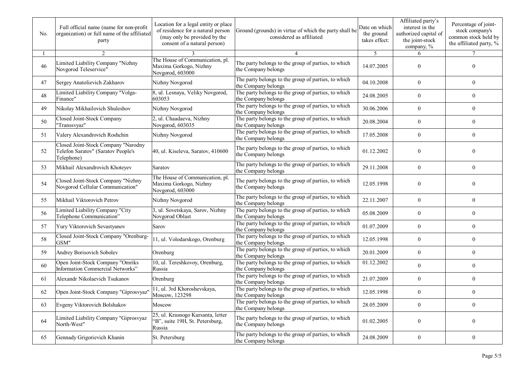| No. | Full official name (name for non-profit<br>organization) or full name of the affiliated<br>party | Location for a legal entity or place<br>of residence for a natural person<br>(may only be provided by the<br>consent of a natural person) | Ground (grounds) in virtue of which the party shall be<br>considered as affiliated | Date on which<br>the ground<br>takes effect: | Affiliated party's<br>interest in the<br>authorized capital of<br>the joint-stock<br>company, % | Percentage of joint-<br>stock company's<br>common stock held by<br>the affiliated party, % |
|-----|--------------------------------------------------------------------------------------------------|-------------------------------------------------------------------------------------------------------------------------------------------|------------------------------------------------------------------------------------|----------------------------------------------|-------------------------------------------------------------------------------------------------|--------------------------------------------------------------------------------------------|
|     | 2                                                                                                |                                                                                                                                           |                                                                                    | 5                                            | 6                                                                                               |                                                                                            |
| 46  | Limited Liability Company "Nizhny<br>Novgorod Teleservice"                                       | The House of Communication, pl.<br>Maxima Gorkogo, Nizhny<br>Novgorod, 603000                                                             | The party belongs to the group of parties, to which<br>the Company belongs         | 14.07.2005                                   | $\mathbf{0}$                                                                                    | 0                                                                                          |
| 47  | Sergey Anatolievich Zakharov                                                                     | Nizhny Novgorod                                                                                                                           | The party belongs to the group of parties, to which<br>the Company belongs         | 04.10.2008                                   | $\theta$                                                                                        | $\mathbf{0}$                                                                               |
| 48  | Limited Liability Company "Volga-<br>Finance"                                                    | 8, ul. Lesnaya, Veliky Novgorod,<br>603053                                                                                                | The party belongs to the group of parties, to which<br>the Company belongs         | 24.08.2005                                   | $\overline{0}$                                                                                  | $\overline{0}$                                                                             |
| 49  | Nikolay Mikhailovich Shuleshov                                                                   | Nizhny Novgorod                                                                                                                           | The party belongs to the group of parties, to which<br>the Company belongs         | 30.06.2006                                   | $\overline{0}$                                                                                  | $\overline{0}$                                                                             |
| 50  | Closed Joint-Stock Company<br>"Transsvyaz"                                                       | 2, ul. Chaadaeva, Nizhny<br>Novgorod, 603035                                                                                              | The party belongs to the group of parties, to which<br>the Company belongs         | 20.08.2004                                   | $\overline{0}$                                                                                  | $\overline{0}$                                                                             |
| 51  | Valery Alexandrovich Roshchin                                                                    | Nizhny Novgorod                                                                                                                           | The party belongs to the group of parties, to which<br>the Company belongs         | 17.05.2008                                   | $\boldsymbol{0}$                                                                                | $\overline{0}$                                                                             |
| 52  | Closed Joint-Stock Company "Narodny<br>Telefon Saratov" (Saratov People's<br>Telephone)          | 40, ul. Kiseleva, Saratov, 410600                                                                                                         | The party belongs to the group of parties, to which<br>the Company belongs         | 01.12.2002                                   | $\theta$                                                                                        | 0                                                                                          |
| 53  | Mikhail Alexandrovich Khoteyev                                                                   | Saratov                                                                                                                                   | The party belongs to the group of parties, to which<br>the Company belongs         | 29.11.2008                                   | $\theta$                                                                                        | $\theta$                                                                                   |
| 54  | Closed Joint-Stock Company "Nizhny<br>Novgorod Cellular Communication"                           | The House of Communication, pl.<br>Maxima Gorkogo, Nizhny<br>Novgorod, 603000                                                             | The party belongs to the group of parties, to which<br>the Company belongs         | 12.05.1998                                   | $\theta$                                                                                        | 0                                                                                          |
| 55  | Mikhail Viktorovich Petrov                                                                       | Nizhny Novgorod                                                                                                                           | The party belongs to the group of parties, to which<br>the Company belongs         | 22.11.2007                                   | $\overline{0}$                                                                                  | 0                                                                                          |
| 56  | Limited Liability Company "City<br>Telephone Communication"                                      | 3, ul. Sovetskaya, Sarov, Nizhny<br>Novgorod Oblast                                                                                       | The party belongs to the group of parties, to which<br>the Company belongs         | 05.08.2009                                   | $\overline{0}$                                                                                  | 0                                                                                          |
| 57  | Yury Viktorovich Sevastyanov                                                                     | Sarov                                                                                                                                     | The party belongs to the group of parties, to which<br>the Company belongs         | 01.07.2009                                   | $\overline{0}$                                                                                  | $\overline{0}$                                                                             |
| 58  | Closed Joint-Stock Company "Orenburg-<br>GSM"                                                    | 11, ul. Volodarskogo, Orenburg                                                                                                            | The party belongs to the group of parties, to which<br>the Company belongs         | 12.05.1998                                   | $\overline{0}$                                                                                  | $\boldsymbol{0}$                                                                           |
| 59  | Andrey Borisovich Sobolev                                                                        | Orenburg                                                                                                                                  | The party belongs to the group of parties, to which<br>the Company belongs         | 20.01.2009                                   | $\mathbf{0}$                                                                                    | $\overline{0}$                                                                             |
| 60  | Open Joint-Stock Company "Omriks<br>Information Commercial Networks"                             | 10, ul. Tereshkovoy, Orenburg,<br>Russia                                                                                                  | The party belongs to the group of parties, to which<br>the Company belongs         | 01.12.2002                                   | $\overline{0}$                                                                                  | $\overline{0}$                                                                             |
| 61  | Alexandr Nikolaevich Tsukanov                                                                    | Orenburg                                                                                                                                  | The party belongs to the group of parties, to which<br>the Company belongs         | 21.07.2009                                   | $\overline{0}$                                                                                  | $\mathbf{0}$                                                                               |
| 62  | Open Joint-Stock Company "Giprosvyaz"                                                            | 11, ul. 3rd Khoroshevskaya,<br>Moscow, 123298                                                                                             | The party belongs to the group of parties, to which<br>the Company belongs         | 12.05.1998                                   | $\mathbf{0}$                                                                                    | $\theta$                                                                                   |
| 63  | Evgeny Viktorovich Bolshakov                                                                     | Moscow                                                                                                                                    | The party belongs to the group of parties, to which<br>the Company belongs         | 28.05.2009                                   | $\boldsymbol{0}$                                                                                | $\boldsymbol{0}$                                                                           |
| 64  | Limited Liability Company "Giprosvyaz<br>North-West"                                             | 25, ul. Krasnogo Kursanta, letter<br>"B", suite 19H, St. Petersburg,<br>Russia                                                            | The party belongs to the group of parties, to which<br>the Company belongs         | 01.02.2005                                   | $\overline{0}$                                                                                  | $\boldsymbol{0}$                                                                           |
| 65  | Gennady Grigorievich Khanin                                                                      | St. Petersburg                                                                                                                            | The party belongs to the group of parties, to which<br>the Company belongs         | 24.08.2009                                   | $\mathbf{0}$                                                                                    | $\bf{0}$                                                                                   |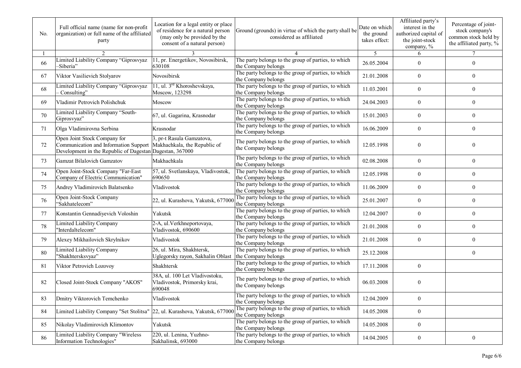| No. | Full official name (name for non-profit<br>organization) or full name of the affiliated<br>party                                                                | Location for a legal entity or place<br>of residence for a natural person<br>(may only be provided by the<br>consent of a natural person) | Ground (grounds) in virtue of which the party shall be<br>considered as affiliated | Date on which<br>the ground<br>takes effect: | Affiliated party's<br>interest in the<br>authorized capital of<br>the joint-stock<br>company, % | Percentage of joint-<br>stock company's<br>common stock held by<br>the affiliated party, % |
|-----|-----------------------------------------------------------------------------------------------------------------------------------------------------------------|-------------------------------------------------------------------------------------------------------------------------------------------|------------------------------------------------------------------------------------|----------------------------------------------|-------------------------------------------------------------------------------------------------|--------------------------------------------------------------------------------------------|
|     | 2                                                                                                                                                               |                                                                                                                                           |                                                                                    | 5                                            | 6                                                                                               | 7                                                                                          |
| 66  | Limited Liability Company "Giprosvyaz<br>-Siberia"                                                                                                              | 11, pr. Energetikov, Novosibirsk,<br>630108                                                                                               | The party belongs to the group of parties, to which<br>the Company belongs         | 26.05.2004                                   | $\theta$                                                                                        | $\theta$                                                                                   |
| 67  | Viktor Vasilievich Stolyarov                                                                                                                                    | Novosibirsk                                                                                                                               | The party belongs to the group of parties, to which<br>the Company belongs         | 21.01.2008                                   | $\mathbf{0}$                                                                                    | 0                                                                                          |
| 68  | Limited Liability Company "Giprosvyaz<br>- Consulting"                                                                                                          | 11, ul. 3 <sup>rd</sup> Khoroshevskaya,<br>Moscow, 123298                                                                                 | The party belongs to the group of parties, to which<br>the Company belongs         | 11.03.2001                                   | $\theta$                                                                                        | $\overline{0}$                                                                             |
| 69  | Vladimir Petrovich Polishchuk                                                                                                                                   | Moscow                                                                                                                                    | The party belongs to the group of parties, to which<br>the Company belongs         | 24.04.2003                                   | $\mathbf{0}$                                                                                    | $\overline{0}$                                                                             |
| 70  | Limited Liability Company "South-<br>Giprosvyaz"                                                                                                                | 67, ul. Gagarina, Krasnodar                                                                                                               | The party belongs to the group of parties, to which<br>the Company belongs         | 15.01.2003                                   | $\theta$                                                                                        | $\overline{0}$                                                                             |
| 71  | Olga Vladimirovna Serbina                                                                                                                                       | Krasnodar                                                                                                                                 | The party belongs to the group of parties, to which<br>the Company belongs         | 16.06.2009                                   | $\mathbf{0}$                                                                                    | $\overline{0}$                                                                             |
| 72  | Open Joint Stock Company for<br>Communication and Information Support  Makhachkala, the Republic of<br>Development in the Republic of Dagestan Dagestan, 367000 | 3, pr-t Rasula Gamzatova,                                                                                                                 | The party belongs to the group of parties, to which<br>the Company belongs         | 12.05.1998                                   | $\theta$                                                                                        | 0                                                                                          |
| 73  | Gamzat Bilalovich Gamzatov                                                                                                                                      | Makhachkala                                                                                                                               | The party belongs to the group of parties, to which<br>the Company belongs         | 02.08.2008                                   | $\mathbf{0}$                                                                                    | $\overline{0}$                                                                             |
| 74  | Open Joint-Stock Company "Far-East<br>Company of Electric Communication"                                                                                        | 57, ul. Svetlanskaya, Vladivostok,<br>690650                                                                                              | The party belongs to the group of parties, to which<br>the Company belongs         | 12.05.1998                                   | $\mathbf{0}$                                                                                    | $\overline{0}$                                                                             |
| 75  | Andrey Vladimirovich Balatsenko                                                                                                                                 | Vladivostok                                                                                                                               | The party belongs to the group of parties, to which<br>the Company belongs         | 11.06.2009                                   | $\mathbf{0}$                                                                                    | 0                                                                                          |
| 76  | Open Joint-Stock Company<br>"Sakhatelecom"                                                                                                                      | 22, ul. Kurashova, Yakutsk, 677000                                                                                                        | The party belongs to the group of parties, to which<br>the Company belongs         | 25.01.2007                                   | $\theta$                                                                                        | 0                                                                                          |
| 77  | Konstantin Gennadiyevich Voloshin                                                                                                                               | Yakutsk                                                                                                                                   | The party belongs to the group of parties, to which<br>the Company belongs         | 12.04.2007                                   | $\mathbf{0}$                                                                                    | $\overline{0}$                                                                             |
| 78  | <b>Limited Liability Company</b><br>"Interdaltelecom"                                                                                                           | 2-A, ul. Verkhneportovaya,<br>Vladivostok, 690600                                                                                         | The party belongs to the group of parties, to which<br>the Company belongs         | 21.01.2008                                   | $\theta$                                                                                        | $\overline{0}$                                                                             |
| 79  | Alexey Mikhailovich Skrylnikov                                                                                                                                  | Vladivostok                                                                                                                               | The party belongs to the group of parties, to which<br>the Company belongs         | 21.01.2008                                   | $\mathbf{0}$                                                                                    | $\overline{0}$                                                                             |
| 80  | Limited Liability Company<br>"Shakhtersksvyaz"                                                                                                                  | 26, ul. Mira, Shakhtersk,<br>Uglegorsky rayon, Sakhalin Oblast                                                                            | The party belongs to the group of parties, to which<br>the Company belongs         | 25.12.2008                                   |                                                                                                 | $\overline{0}$                                                                             |
| 81  | Viktor Petrovich Lozovoy                                                                                                                                        | Shakhtersk                                                                                                                                | The party belongs to the group of parties, to which<br>the Company belongs         | 17.11.2008                                   | $\mathbf{0}$                                                                                    |                                                                                            |
| 82  | Closed Joint-Stock Company "AKOS"                                                                                                                               | 38A, ul. 100 Let Vladivostoku,<br>Vladivostok, Primorsky krai,<br>690048                                                                  | The party belongs to the group of parties, to which<br>the Company belongs         | 06.03.2008                                   | $\theta$                                                                                        |                                                                                            |
| 83  | Dmitry Viktorovich Temchenko                                                                                                                                    | Vladivostok                                                                                                                               | The party belongs to the group of parties, to which<br>the Company belongs         | 12.04.2009                                   | $\boldsymbol{0}$                                                                                |                                                                                            |
| 84  | Limited Liability Company "Set Stolitsa"                                                                                                                        | 22, ul. Kurashova, Yakutsk, 677000                                                                                                        | The party belongs to the group of parties, to which<br>the Company belongs         | 14.05.2008                                   | $\boldsymbol{0}$                                                                                |                                                                                            |
| 85  | Nikolay Vladimirovich Klimontov                                                                                                                                 | Yakutsk                                                                                                                                   | The party belongs to the group of parties, to which<br>the Company belongs         | 14.05.2008                                   | $\overline{0}$                                                                                  |                                                                                            |
| 86  | Limited Liability Company "Wireless<br>Information Technologies"                                                                                                | 220, ul. Lenina, Yuzhno-<br>Sakhalinsk, 693000                                                                                            | The party belongs to the group of parties, to which<br>the Company belongs         | 14.04.2005                                   | $\boldsymbol{0}$                                                                                | $\boldsymbol{0}$                                                                           |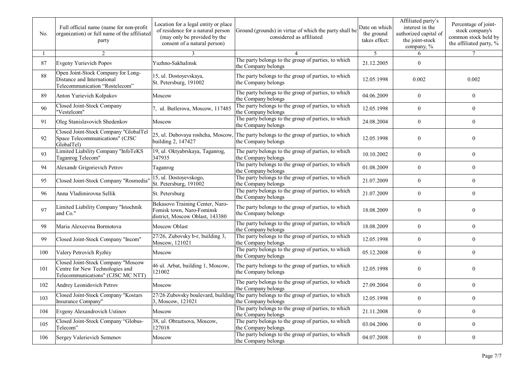| No. | Full official name (name for non-profit<br>organization) or full name of the affiliated<br>party           | Location for a legal entity or place<br>of residence for a natural person<br>(may only be provided by the<br>consent of a natural person) | Ground (grounds) in virtue of which the party shall be<br>considered as affiliated                            | Date on which<br>the ground<br>takes effect: | Affiliated party's<br>interest in the<br>authorized capital of<br>the joint-stock<br>company, % | Percentage of joint-<br>stock company's<br>common stock held by<br>the affiliated party, % |
|-----|------------------------------------------------------------------------------------------------------------|-------------------------------------------------------------------------------------------------------------------------------------------|---------------------------------------------------------------------------------------------------------------|----------------------------------------------|-------------------------------------------------------------------------------------------------|--------------------------------------------------------------------------------------------|
|     | 2                                                                                                          |                                                                                                                                           |                                                                                                               | 5                                            | 6                                                                                               | $\tau$                                                                                     |
| 87  | Evgeny Yurievich Popov                                                                                     | Yuzhno-Sakhalinsk                                                                                                                         | The party belongs to the group of parties, to which<br>the Company belongs                                    | 21.12.2005                                   | $\mathbf{0}$                                                                                    |                                                                                            |
| 88  | Open Joint-Stock Company for Long-<br>Distance and International<br>Telecommunication "Rostelecom"         | 15, ul. Dostoyevskaya,<br>St. Petersburg, 191002                                                                                          | The party belongs to the group of parties, to which<br>the Company belongs                                    | 12.05.1998                                   | 0.002                                                                                           | 0.002                                                                                      |
| 89  | Anton Yurievich Kolpakov                                                                                   | Moscow                                                                                                                                    | The party belongs to the group of parties, to which<br>the Company belongs                                    | 04.06.2009                                   | $\theta$                                                                                        | $\overline{0}$                                                                             |
| 90  | Closed Joint-Stock Company<br>"Vestelcom"                                                                  | 7, ul. Butlerova, Moscow, 117485                                                                                                          | The party belongs to the group of parties, to which<br>the Company belongs                                    | 12.05.1998                                   | $\overline{0}$                                                                                  | $\overline{0}$                                                                             |
| 91  | Oleg Stanislavovich Shedenkov                                                                              | Moscow                                                                                                                                    | The party belongs to the group of parties, to which<br>the Company belongs                                    | 24.08.2004                                   | $\overline{0}$                                                                                  | $\overline{0}$                                                                             |
| 92  | Closed Joint-Stock Company "GlobalTel<br>Space Telecommunications" (CJSC<br>GlobalTel)                     | building 2, 147427                                                                                                                        | 25, ul. Dubovaya roshcha, Moscow, The party belongs to the group of parties, to which<br>the Company belongs  | 12.05.1998                                   | $\theta$                                                                                        | $\theta$                                                                                   |
| 93  | Limited Liability Company "InfoTeKS<br>Taganrog Telecom"                                                   | 19, ul. Oktyabrskaya, Taganrog,<br>347935                                                                                                 | The party belongs to the group of parties, to which<br>the Company belongs                                    | 10.10.2002                                   | $\overline{0}$                                                                                  | $\overline{0}$                                                                             |
| 94  | Alexandr Grigorievich Petrov                                                                               | Taganrog                                                                                                                                  | The party belongs to the group of parties, to which<br>the Company belongs                                    | 01.08.2009                                   | $\overline{0}$                                                                                  | $\overline{0}$                                                                             |
| 95  | Closed Joint-Stock Company "Rosmedia"                                                                      | 15, ul. Dostoyevskogo,<br>St. Petersburg, 191002                                                                                          | The party belongs to the group of parties, to which<br>the Company belongs                                    | 21.07.2009                                   | $\overline{0}$                                                                                  | $\overline{0}$                                                                             |
| 96  | Anna Vladimirovna Sellik                                                                                   | St. Petersburg                                                                                                                            | The party belongs to the group of parties, to which<br>the Company belongs                                    | 21.07.2009                                   | $\mathbf{0}$                                                                                    | $\mathbf{0}$                                                                               |
| 97  | Limited Liability Company "Istochnik<br>and Co."                                                           | Bekasovo Training Center, Naro-<br>Fomisk town, Naro-Fominsk<br>district, Moscow Oblast, 143380                                           | The party belongs to the group of parties, to which<br>the Company belongs                                    | 18.08.2009                                   | $\theta$                                                                                        | $\overline{0}$                                                                             |
| 98  | Maria Alexeevna Bormotova                                                                                  | Moscow Oblast                                                                                                                             | The party belongs to the group of parties, to which<br>the Company belongs                                    | 18.08.2009                                   | $\overline{0}$                                                                                  | $\overline{0}$                                                                             |
| 99  | Closed Joint-Stock Company "Incom"                                                                         | 27/26, Zubovsky b-r, building 3,<br>Moscow, 121021                                                                                        | The party belongs to the group of parties, to which<br>the Company belongs                                    | 12.05.1998                                   | $\theta$                                                                                        | 0                                                                                          |
| 100 | Valery Petrovich Ryzhiy                                                                                    | Moscow                                                                                                                                    | The party belongs to the group of parties, to which<br>the Company belongs                                    | 05.12.2008                                   | $\theta$                                                                                        | $\overline{0}$                                                                             |
| 101 | Closed Joint-Stock Company "Moscow<br>Centre for New Technologies and<br>Telecommunications" (CJSC MC NTT) | 46 ul. Arbat, building 1, Moscow,<br>121002                                                                                               | The party belongs to the group of parties, to which<br>the Company belongs                                    | 12.05.1998                                   | $\theta$                                                                                        | 0                                                                                          |
| 102 | Andrey Leonidovich Petrov                                                                                  | Moscow                                                                                                                                    | The party belongs to the group of parties, to which<br>the Company belongs                                    | 27.09.2004                                   | $\theta$                                                                                        | $\overline{0}$                                                                             |
| 103 | Closed Joint-Stock Company "Kostars"<br>Insurance Company"                                                 | 3, Moscow, 121021                                                                                                                         | 27/26 Zubovsky boulevard, building The party belongs to the group of parties, to which<br>the Company belongs | 12.05.1998                                   | $\boldsymbol{0}$                                                                                | $\boldsymbol{0}$                                                                           |
| 104 | Evgeny Alexandrovich Ustinov                                                                               | Moscow                                                                                                                                    | The party belongs to the group of parties, to which<br>the Company belongs                                    | 21.11.2008                                   | $\boldsymbol{0}$                                                                                | $\boldsymbol{0}$                                                                           |
| 105 | Closed Joint-Stock Company "Globus-<br>Telecom"                                                            | 38, ul. Obraztsova, Moscow,<br>127018                                                                                                     | The party belongs to the group of parties, to which<br>the Company belongs                                    | 03.04.2006                                   | $\boldsymbol{0}$                                                                                | $\bf{0}$                                                                                   |
| 106 | Sergey Valerievich Semenov                                                                                 | Moscow                                                                                                                                    | The party belongs to the group of parties, to which<br>the Company belongs                                    | 04.07.2008                                   | $\overline{0}$                                                                                  | $\boldsymbol{0}$                                                                           |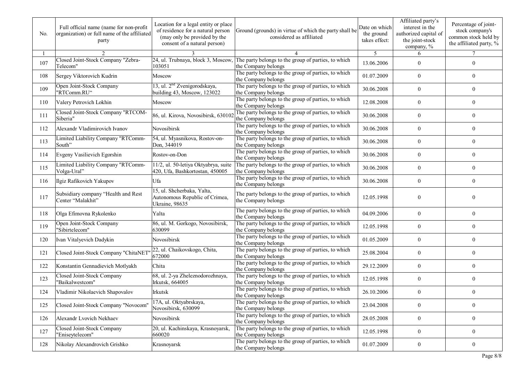| No. | Full official name (name for non-profit<br>organization) or full name of the affiliated<br>party | Location for a legal entity or place<br>of residence for a natural person<br>(may only be provided by the<br>consent of a natural person) | Ground (grounds) in virtue of which the party shall be<br>considered as affiliated | Date on which<br>the ground<br>takes effect: | Affiliated party's<br>interest in the<br>authorized capital of<br>the joint-stock<br>company, % | Percentage of joint-<br>stock company's<br>common stock held by<br>the affiliated party, % |
|-----|--------------------------------------------------------------------------------------------------|-------------------------------------------------------------------------------------------------------------------------------------------|------------------------------------------------------------------------------------|----------------------------------------------|-------------------------------------------------------------------------------------------------|--------------------------------------------------------------------------------------------|
|     | $\mathfrak{D}$                                                                                   |                                                                                                                                           |                                                                                    | 5                                            | 6                                                                                               | $\tau$                                                                                     |
| 107 | Closed Joint-Stock Company "Zebra-<br>Telecom"                                                   | 24, ul. Trubnaya, block 3, Moscow,<br>103051                                                                                              | The party belongs to the group of parties, to which<br>the Company belongs         | 13.06.2006                                   | $\theta$                                                                                        | $\overline{0}$                                                                             |
| 108 | Sergey Viktorovich Kudrin                                                                        | Moscow                                                                                                                                    | The party belongs to the group of parties, to which<br>the Company belongs         | 01.07.2009                                   | $\overline{0}$                                                                                  | 0                                                                                          |
| 109 | Open Joint-Stock Company<br>"RTComm.RU"                                                          | 13, ul. 2 <sup>nd</sup> Zvenigorodskaya,<br>building 43, Moscow, 123022                                                                   | The party belongs to the group of parties, to which<br>the Company belongs         | 30.06.2008                                   | $\theta$                                                                                        | 0                                                                                          |
| 110 | Valery Petrovich Lokhin                                                                          | Moscow                                                                                                                                    | The party belongs to the group of parties, to which<br>the Company belongs         | 12.08.2008                                   | $\theta$                                                                                        | $\overline{0}$                                                                             |
| 111 | Closed Joint-Stock Company "RTCOM-<br>Siberia"                                                   | 86, ul. Kirova, Novosibirsk, 630102                                                                                                       | The party belongs to the group of parties, to which<br>the Company belongs         | 30.06.2008                                   | $\theta$                                                                                        | $\overline{0}$                                                                             |
| 112 | Alexandr Vladimirovich Ivanov                                                                    | Novosibirsk                                                                                                                               | The party belongs to the group of parties, to which<br>the Company belongs         | 30.06.2008                                   | $\overline{0}$                                                                                  | $\mathbf{0}$                                                                               |
| 113 | Limited Liability Company "RTComm-<br>South"                                                     | 54, ul. Myasnikova, Rostov-on-<br>Don, 344019                                                                                             | The party belongs to the group of parties, to which<br>the Company belongs         | 30.06.2008                                   | $\overline{0}$                                                                                  | $\boldsymbol{0}$                                                                           |
| 114 | Evgeny Vasilievich Egorshin                                                                      | Rostov-on-Don                                                                                                                             | The party belongs to the group of parties, to which<br>the Company belongs         | 30.06.2008                                   | $\overline{0}$                                                                                  | $\overline{0}$                                                                             |
| 115 | Limited Liability Company "RTComm-<br>Volga-Ural"                                                | 11/2, ul. 50-letiya Oktyabrya, suite<br>420, Ufa, Bashkortostan, 450005                                                                   | The party belongs to the group of parties, to which<br>the Company belongs         | 30.06.2008                                   | $\overline{0}$                                                                                  | $\mathbf{0}$                                                                               |
| 116 | Ilgiz Rafikovich Yakupov                                                                         | Ufa                                                                                                                                       | The party belongs to the group of parties, to which<br>the Company belongs         | 30.06.2008                                   | $\overline{0}$                                                                                  | $\overline{0}$                                                                             |
| 117 | Subsidiary company "Health and Rest<br>Center "Malakhit"                                         | 15, ul. Shcherbaka, Yalta,<br>Autonomous Republic of Crimea,<br>Ukraine, 98635                                                            | The party belongs to the group of parties, to which<br>the Company belongs         | 12.05.1998                                   | $\theta$                                                                                        | $\theta$                                                                                   |
| 118 | Olga Efimovna Rykolenko                                                                          | Yalta                                                                                                                                     | The party belongs to the group of parties, to which<br>the Company belongs         | 04.09.2006                                   | $\overline{0}$                                                                                  | $\mathbf{0}$                                                                               |
| 119 | Open Joint-Stock Company<br>"Sibirtelecom"                                                       | 86, ul. M. Gorkogo, Novosibirsk,<br>630099                                                                                                | The party belongs to the group of parties, to which<br>the Company belongs         | 12.05.1998                                   | $\overline{0}$                                                                                  | $\overline{0}$                                                                             |
| 120 | Ivan Vitalyevich Dadykin                                                                         | Novosibirsk                                                                                                                               | The party belongs to the group of parties, to which<br>the Company belongs         | 01.05.2009                                   | $\overline{0}$                                                                                  | $\overline{0}$                                                                             |
| 121 | Closed Joint-Stock Company "ChitaNET                                                             | 22, ul. Chaikovskogo, Chita,<br>672000                                                                                                    | The party belongs to the group of parties, to which<br>the Company belongs         | 25.08.2004                                   | $\mathbf{0}$                                                                                    | $\boldsymbol{0}$                                                                           |
| 122 | Konstantin Gennadievich Motlyakh                                                                 | Chita                                                                                                                                     | The party belongs to the group of parties, to which<br>the Company belongs         | 29.12.2009                                   | $\overline{0}$                                                                                  | $\overline{0}$                                                                             |
| 123 | Closed Joint-Stock Company<br>"Baikalwestcom"                                                    | 68, ul. 2-ya Zheleznodorozhnaya,<br>Irkutsk, 664005                                                                                       | The party belongs to the group of parties, to which<br>the Company belongs         | 12.05.1998                                   | $\theta$                                                                                        | $\theta$                                                                                   |
| 124 | Vladimir Nikolaevich Shapovalov                                                                  | <b>Irkutsk</b>                                                                                                                            | The party belongs to the group of parties, to which<br>the Company belongs         | 26.10.2006                                   | $\overline{0}$                                                                                  | $\overline{0}$                                                                             |
| 125 | Closed Joint-Stock Company "Novocom"                                                             | 17A, ul. Oktyabrskaya,<br>Novosibirsk, 630099                                                                                             | The party belongs to the group of parties, to which<br>the Company belongs         | 23.04.2008                                   | $\boldsymbol{0}$                                                                                | $\boldsymbol{0}$                                                                           |
| 126 | Alexandr Lvovich Nekhaev                                                                         | Novosibirsk                                                                                                                               | The party belongs to the group of parties, to which<br>the Company belongs         | 28.05.2008                                   | $\overline{0}$                                                                                  | $\overline{0}$                                                                             |
| 127 | Closed Joint-Stock Company<br>"Eniseytelecom"                                                    | 20, ul. Kachinskaya, Krasnoyarsk,<br>660020                                                                                               | The party belongs to the group of parties, to which<br>the Company belongs         | 12.05.1998                                   | $\overline{0}$                                                                                  | $\overline{0}$                                                                             |
| 128 | Nikolay Alexandrovich Grishko                                                                    | Krasnoyarsk                                                                                                                               | The party belongs to the group of parties, to which<br>the Company belongs         | 01.07.2009                                   | $\boldsymbol{0}$                                                                                | $\boldsymbol{0}$                                                                           |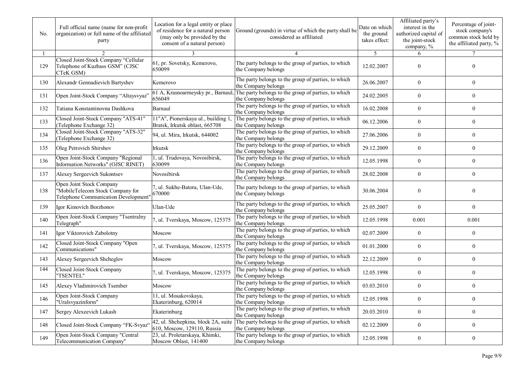| No. | Full official name (name for non-profit<br>organization) or full name of the affiliated<br>party     | Location for a legal entity or place<br>of residence for a natural person<br>(may only be provided by the<br>consent of a natural person) | Ground (grounds) in virtue of which the party shall be<br>considered as affiliated | Date on which<br>the ground<br>takes effect: | Affiliated party's<br>interest in the<br>authorized capital of<br>the joint-stock<br>company, % | Percentage of joint-<br>stock company's<br>common stock held by<br>the affiliated party, % |
|-----|------------------------------------------------------------------------------------------------------|-------------------------------------------------------------------------------------------------------------------------------------------|------------------------------------------------------------------------------------|----------------------------------------------|-------------------------------------------------------------------------------------------------|--------------------------------------------------------------------------------------------|
|     | $\mathfrak{D}$                                                                                       | 3                                                                                                                                         |                                                                                    | 5                                            | 6                                                                                               | $\tau$                                                                                     |
| 129 | Closed Joint-Stock Company "Cellular<br>Telephone of Kuzbass GSM" (CJSC<br>CTeK GSM)                 | 61, pr. Sovetsky, Kemerovo,<br>650099                                                                                                     | The party belongs to the group of parties, to which<br>the Company belongs         | 12.02.2007                                   | $\theta$                                                                                        | 0                                                                                          |
| 130 | Alexandr Gennadievich Bartyshev                                                                      | Kemerovo                                                                                                                                  | The party belongs to the group of parties, to which<br>the Company belongs         | 26.06.2007                                   | $\theta$                                                                                        | $\overline{0}$                                                                             |
| 131 | Open Joint-Stock Company "Altaysvyaz'                                                                | 61 A, Krasnoarmeysky pr., Barnaul,<br>656049                                                                                              | The party belongs to the group of parties, to which<br>the Company belongs         | 24.02.2005                                   | $\theta$                                                                                        | $\theta$                                                                                   |
| 132 | Tatiana Konstantinovna Dashkova                                                                      | Barnaul                                                                                                                                   | The party belongs to the group of parties, to which<br>the Company belongs         | 16.02.2008                                   | $\theta$                                                                                        | $\overline{0}$                                                                             |
| 133 | Closed Joint-Stock Company "ATS-41"<br>(Telephone Exchange 32)                                       | 11"A", Pionerskaya ul., building 1,<br>Bratsk, Irkutsk oblast, 665708                                                                     | The party belongs to the group of parties, to which<br>the Company belongs         | 06.12.2006                                   | $\overline{0}$                                                                                  | $\overline{0}$                                                                             |
| 134 | Closed Joint-Stock Company "ATS-32"<br>(Telephone Exchange 32)                                       | 94, ul. Mira, Irkutsk, 644002                                                                                                             | The party belongs to the group of parties, to which<br>the Company belongs         | 27.06.2006                                   | $\overline{0}$                                                                                  | $\overline{0}$                                                                             |
| 135 | Oleg Petrovich Shirshov                                                                              | Irkutsk                                                                                                                                   | The party belongs to the group of parties, to which<br>the Company belongs         | 29.12.2009                                   | $\overline{0}$                                                                                  | $\overline{0}$                                                                             |
| 136 | Open Joint-Stock Company "Regional<br>Information Networks" (OJSC RINET)                             | 1, ul. Trudovaya, Novosibirsk,<br>630099                                                                                                  | The party belongs to the group of parties, to which<br>the Company belongs         | 12.05.1998                                   | $\overline{0}$                                                                                  | $\overline{0}$                                                                             |
| 137 | Alexey Sergeevich Sukontsev                                                                          | Novosibirsk                                                                                                                               | The party belongs to the group of parties, to which<br>the Company belongs         | 28.02.2008                                   | $\overline{0}$                                                                                  | $\theta$                                                                                   |
| 138 | Open Joint Stock Company<br>"MobileTelecom Stock Company for<br>Telephone Communication Development" | 7, ul. Sukhe-Batora, Ulan-Ude,<br>670000                                                                                                  | The party belongs to the group of parties, to which<br>the Company belongs         | 30.06.2004                                   | $\theta$                                                                                        | $\theta$                                                                                   |
| 139 | Igor Kimovich Borzhonov                                                                              | Ulan-Ude                                                                                                                                  | The party belongs to the group of parties, to which<br>the Company belongs         | 25.05.2007                                   | $\overline{0}$                                                                                  | $\theta$                                                                                   |
| 140 | Open Joint-Stock Company "Tsentralny<br>Telegraph"                                                   | 7, ul. Tverskaya, Moscow, 125375                                                                                                          | The party belongs to the group of parties, to which<br>the Company belongs         | 12.05.1998                                   | 0.001                                                                                           | 0.001                                                                                      |
| 141 | Igor Viktorovich Zabolotny                                                                           | Moscow                                                                                                                                    | The party belongs to the group of parties, to which<br>the Company belongs         | 02.07.2009                                   | $\overline{0}$                                                                                  | $\overline{0}$                                                                             |
| 142 | Closed Joint-Stock Company "Open<br>Communications"                                                  | 7, ul. Tverskaya, Moscow, 125375                                                                                                          | The party belongs to the group of parties, to which<br>the Company belongs         | 01.01.2000                                   | $\overline{0}$                                                                                  | $\overline{0}$                                                                             |
| 143 | Alexey Sergeevich Shcheglov                                                                          | Moscow                                                                                                                                    | The party belongs to the group of parties, to which<br>the Company belongs         | 22.12.2009                                   | $\overline{0}$                                                                                  | $\overline{0}$                                                                             |
| 144 | Closed Joint-Stock Company<br>"TSENTEL"                                                              | 7, ul. Tverskaya, Moscow, 125375                                                                                                          | The party belongs to the group of parties, to which<br>the Company belongs         | 12.05.1998                                   | $\overline{0}$                                                                                  | $\overline{0}$                                                                             |
| 145 | Alexey Vladimirovich Tsember                                                                         | Moscow                                                                                                                                    | The party belongs to the group of parties, to which<br>the Company belongs         | 03.03.2010                                   | $\theta$                                                                                        | $\overline{0}$                                                                             |
| 146 | Open Joint-Stock Company<br>"Uralsvyazinform"                                                        | 11, ul. Mosakovskaya,<br>Ekaterinburg, 620014                                                                                             | The party belongs to the group of parties, to which<br>the Company belongs         | 12.05.1998                                   | $\boldsymbol{0}$                                                                                | $\boldsymbol{0}$                                                                           |
| 147 | Sergey Alexeevich Lukash                                                                             | Ekaterinburg                                                                                                                              | The party belongs to the group of parties, to which<br>the Company belongs         | 20.03.2010                                   | $\boldsymbol{0}$                                                                                | $\boldsymbol{0}$                                                                           |
| 148 | Closed Joint-Stock Company "FK-Svyaz"                                                                | 42, ul. Shchepkina, block 2A, suite<br>610, Moscow, 129110, Russia                                                                        | The party belongs to the group of parties, to which<br>the Company belongs         | 02.12.2009                                   | $\boldsymbol{0}$                                                                                | $\boldsymbol{0}$                                                                           |
| 149 | Open Joint-Stock Company "Central<br>Telecommunication Company"                                      | 23, ul. Proletarskaya, Khimki,<br>Moscow Oblast, 141400                                                                                   | The party belongs to the group of parties, to which<br>the Company belongs         | 12.05.1998                                   | $\boldsymbol{0}$                                                                                | $\bf{0}$                                                                                   |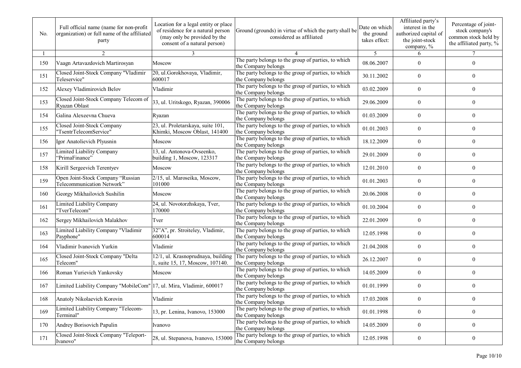| No. | Full official name (name for non-profit<br>organization) or full name of the affiliated<br>party | Location for a legal entity or place<br>of residence for a natural person<br>(may only be provided by the<br>consent of a natural person) | Ground (grounds) in virtue of which the party shall be<br>considered as affiliated | Date on which<br>the ground<br>takes effect: | Affiliated party's<br>interest in the<br>authorized capital of<br>the joint-stock<br>company, % | Percentage of joint-<br>stock company's<br>common stock held by<br>the affiliated party, % |
|-----|--------------------------------------------------------------------------------------------------|-------------------------------------------------------------------------------------------------------------------------------------------|------------------------------------------------------------------------------------|----------------------------------------------|-------------------------------------------------------------------------------------------------|--------------------------------------------------------------------------------------------|
|     | $\overline{2}$                                                                                   | 3                                                                                                                                         |                                                                                    | 5                                            | 6                                                                                               | $\tau$                                                                                     |
| 150 | Vaagn Artavazdovich Martirosyan                                                                  | Moscow                                                                                                                                    | The party belongs to the group of parties, to which<br>the Company belongs         | 08.06.2007                                   | $\overline{0}$                                                                                  | $\overline{0}$                                                                             |
| 151 | Closed Joint-Stock Company "Vladimir<br>Teleservice"                                             | 20, ul. Gorokhovaya, Vladimir,<br>600017                                                                                                  | The party belongs to the group of parties, to which<br>the Company belongs         | 30.11.2002                                   | $\overline{0}$                                                                                  | 0                                                                                          |
| 152 | Alexey Vladimirovich Belov                                                                       | Vladimir                                                                                                                                  | The party belongs to the group of parties, to which<br>the Company belongs         | 03.02.2009                                   | $\overline{0}$                                                                                  | 0                                                                                          |
| 153 | Closed Joint-Stock Company Telecom of<br>Ryazan Oblast                                           | 33, ul. Uritskogo, Ryazan, 390006                                                                                                         | The party belongs to the group of parties, to which<br>the Company belongs         | 29.06.2009                                   | $\overline{0}$                                                                                  | 0                                                                                          |
| 154 | Galina Alexeevna Chueva                                                                          | Ryazan                                                                                                                                    | The party belongs to the group of parties, to which<br>the Company belongs         | 01.03.2009                                   | $\theta$                                                                                        | $\overline{0}$                                                                             |
| 155 | Closed Joint-Stock Company<br>'TsentrTelecomService"                                             | 23, ul. Proletarskaya, suite 101,<br>Khimki, Moscow Oblast, 141400                                                                        | The party belongs to the group of parties, to which<br>the Company belongs         | 01.01.2003                                   | $\overline{0}$                                                                                  | $\overline{0}$                                                                             |
| 156 | Igor Anatolievich Plyusnin                                                                       | Moscow                                                                                                                                    | The party belongs to the group of parties, to which<br>the Company belongs         | 18.12.2009                                   | $\theta$                                                                                        | $\mathbf{0}$                                                                               |
| 157 | Limited Liability Company<br>'PrimaFinance"                                                      | 13, ul. Antonova-Ovseenko,<br>building 1, Moscow, 123317                                                                                  | The party belongs to the group of parties, to which<br>the Company belongs         | 29.01.2009                                   | $\overline{0}$                                                                                  | $\overline{0}$                                                                             |
| 158 | Kirill Sergeevich Terentyev                                                                      | Moscow                                                                                                                                    | The party belongs to the group of parties, to which<br>the Company belongs         | 12.01.2010                                   | $\theta$                                                                                        | $\theta$                                                                                   |
| 159 | Open Joint-Stock Company "Russian<br>Telecommunication Network"                                  | 2/15, ul. Maroseika, Moscow,<br>101000                                                                                                    | The party belongs to the group of parties, to which<br>the Company belongs         | 01.01.2003                                   | $\overline{0}$                                                                                  | $\theta$                                                                                   |
| 160 | Georgy Mikhailovich Sushilin                                                                     | Moscow                                                                                                                                    | The party belongs to the group of parties, to which<br>the Company belongs         | 20.06.2008                                   | $\overline{0}$                                                                                  | $\boldsymbol{0}$                                                                           |
| 161 | Limited Liability Company<br>"TverTelecom"                                                       | 24, ul. Novotorzhskaya, Tver,<br>170000                                                                                                   | The party belongs to the group of parties, to which<br>the Company belongs         | 01.10.2004                                   | $\overline{0}$                                                                                  | $\overline{0}$                                                                             |
| 162 | Sergey Mikhailovich Malakhov                                                                     | Tver                                                                                                                                      | The party belongs to the group of parties, to which<br>the Company belongs         | 22.01.2009                                   | $\theta$                                                                                        | $\overline{0}$                                                                             |
| 163 | Limited Liability Company "Vladimir<br>Payphone"                                                 | 32"A", pr. Stroiteley, Vladimir,<br>600014                                                                                                | The party belongs to the group of parties, to which<br>the Company belongs         | 12.05.1998                                   | $\overline{0}$                                                                                  | $\overline{0}$                                                                             |
| 164 | Vladimir Ivanovich Yurkin                                                                        | Vladimir                                                                                                                                  | The party belongs to the group of parties, to which<br>the Company belongs         | 21.04.2008                                   | $\overline{0}$                                                                                  | $\overline{0}$                                                                             |
| 165 | Closed Joint-Stock Company "Delta<br>Telecom"                                                    | 12/1, ul. Krasnoprudnaya, building<br>1, suite 15, 17, Moscow, 107140.                                                                    | The party belongs to the group of parties, to which<br>the Company belongs         | 26.12.2007                                   | $\overline{0}$                                                                                  | $\overline{0}$                                                                             |
| 166 | Roman Yurievich Yankovsky                                                                        | Moscow                                                                                                                                    | The party belongs to the group of parties, to which<br>the Company belongs         | 14.05.2009                                   | $\overline{0}$                                                                                  | $\overline{0}$                                                                             |
| 167 | Limited Liability Company "MobileCom" 17, ul. Mira, Vladimir, 600017                             |                                                                                                                                           | The party belongs to the group of parties, to which<br>the Company belongs         | 01.01.1999                                   | $\theta$                                                                                        | $\overline{0}$                                                                             |
| 168 | Anatoly Nikolaevich Korovin                                                                      | Vladimir                                                                                                                                  | The party belongs to the group of parties, to which<br>the Company belongs         | 17.03.2008                                   | $\boldsymbol{0}$                                                                                | $\boldsymbol{0}$                                                                           |
| 169 | Limited Liability Company "Telecom-<br>Terminal"                                                 | 13, pr. Lenina, Ivanovo, 153000                                                                                                           | The party belongs to the group of parties, to which<br>the Company belongs         | 01.01.1998                                   | $\boldsymbol{0}$                                                                                | $\boldsymbol{0}$                                                                           |
| 170 | Andrey Borisovich Papulin                                                                        | Ivanovo                                                                                                                                   | The party belongs to the group of parties, to which<br>the Company belongs         | 14.05.2009                                   | $\boldsymbol{0}$                                                                                | $\overline{0}$                                                                             |
| 171 | Closed Joint-Stock Company "Teleport-<br>Ivanovo"                                                | 28, ul. Stepanova, Ivanovo, 153000                                                                                                        | The party belongs to the group of parties, to which<br>the Company belongs         | 12.05.1998                                   | $\boldsymbol{0}$                                                                                | $\boldsymbol{0}$                                                                           |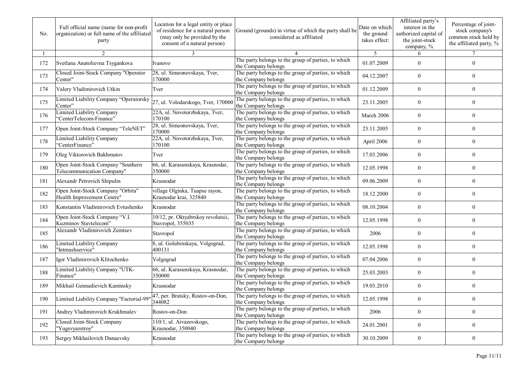| No. | Full official name (name for non-profit<br>organization) or full name of the affiliated<br>party | Location for a legal entity or place<br>of residence for a natural person<br>(may only be provided by the<br>consent of a natural person) | Ground (grounds) in virtue of which the party shall be<br>considered as affiliated | Date on which<br>the ground<br>takes effect: | Affiliated party's<br>interest in the<br>authorized capital of<br>the joint-stock<br>company, % | Percentage of joint-<br>stock company's<br>common stock held by<br>the affiliated party, % |
|-----|--------------------------------------------------------------------------------------------------|-------------------------------------------------------------------------------------------------------------------------------------------|------------------------------------------------------------------------------------|----------------------------------------------|-------------------------------------------------------------------------------------------------|--------------------------------------------------------------------------------------------|
|     | $\overline{2}$                                                                                   | 3                                                                                                                                         |                                                                                    | 5                                            | 6                                                                                               | $\tau$                                                                                     |
| 172 | Svetlana Anatolievna Tsygankova                                                                  | Ivanovo                                                                                                                                   | The party belongs to the group of parties, to which<br>the Company belongs         | 01.07.2009                                   | $\overline{0}$                                                                                  | $\theta$                                                                                   |
| 173 | Closed Joint-Stock Company "Operator<br>Center"                                                  | 28, ul. Simeonovskaya, Tver,<br>170000                                                                                                    | The party belongs to the group of parties, to which<br>the Company belongs         | 04.12.2007                                   | $\overline{0}$                                                                                  | $\overline{0}$                                                                             |
| 174 | Valery Vladimirovich Utkin                                                                       | Tver                                                                                                                                      | The party belongs to the group of parties, to which<br>the Company belongs         | 01.12.2009                                   | $\overline{0}$                                                                                  | 0                                                                                          |
| 175 | Limited Liability Company "Operatorsky<br>Center"                                                | 27, ul. Volodarskogo, Tver, 170000                                                                                                        | The party belongs to the group of parties, to which<br>the Company belongs         | 23.11.2005                                   | $\overline{0}$                                                                                  | 0                                                                                          |
| 176 | <b>Limited Liability Company</b><br>"CenterTelecom-Finance"                                      | 22A, ul. Novotorzhskaya, Tver,<br>170100                                                                                                  | The party belongs to the group of parties, to which<br>the Company belongs         | March 2006                                   | $\theta$                                                                                        | $\overline{0}$                                                                             |
| 177 | Open Joint-Stock Company "TeleNET"                                                               | 28, ul. Simeonovskaya, Tver,<br>170000                                                                                                    | The party belongs to the group of parties, to which<br>the Company belongs         | 23.11.2005                                   | $\overline{0}$                                                                                  | $\overline{0}$                                                                             |
| 178 | Limited Liability Company<br>"CenterFinance"                                                     | 22A, ul. Novotorzhskaya, Tver,<br>170100                                                                                                  | The party belongs to the group of parties, to which<br>the Company belongs         | April 2006                                   | $\overline{0}$                                                                                  | $\mathbf{0}$                                                                               |
| 179 | Oleg Viktorovich Bakhmutov                                                                       | Tver                                                                                                                                      | The party belongs to the group of parties, to which<br>the Company belongs         | 17.03.2006                                   | $\overline{0}$                                                                                  | $\overline{0}$                                                                             |
| 180 | Open Joint-Stock Company "Southern<br>Telecommunication Company"                                 | 66, ul. Karasunskaya, Krasnodar,<br>350000                                                                                                | The party belongs to the group of parties, to which<br>the Company belongs         | 12.05.1998                                   | $\theta$                                                                                        | $\theta$                                                                                   |
| 181 | Alexandr Petrovich Shipulin                                                                      | Krasnodar                                                                                                                                 | The party belongs to the group of parties, to which<br>the Company belongs         | 09.06.2009                                   | $\overline{0}$                                                                                  | $\Omega$                                                                                   |
| 182 | Open Joint-Stock Company "Orbita"<br>Health Improvement Centre"                                  | village Olginka, Tuapse rayon,<br>Krasnodar krai, 325840                                                                                  | The party belongs to the group of parties, to which<br>the Company belongs         | 18.12.2000                                   | $\overline{0}$                                                                                  | $\boldsymbol{0}$                                                                           |
| 183 | Konstantin Vladimirovich Evtushenko                                                              | Krasnodar                                                                                                                                 | The party belongs to the group of parties, to which<br>the Company belongs         | 08.10.2004                                   | $\overline{0}$                                                                                  | $\overline{0}$                                                                             |
| 184 | Open Joint-Stock Company "V.I.<br>Kuzminov Stavtelecom"                                          | 10/12, pr. Oktyabrskoy revolutsii,<br>Stavropol, 355035                                                                                   | The party belongs to the group of parties, to which<br>the Company belongs         | 12.05.1998                                   | $\theta$                                                                                        | $\overline{0}$                                                                             |
| 185 | Alexandr Vladimirovich Zemtsev                                                                   | Stavropol                                                                                                                                 | The party belongs to the group of parties, to which<br>the Company belongs         | 2006                                         | $\overline{0}$                                                                                  | $\overline{0}$                                                                             |
| 186 | Limited Liability Company<br>"Intmashservice"                                                    | 8, ul. Golubinskaya, Volgograd,<br>400131                                                                                                 | The party belongs to the group of parties, to which<br>the Company belongs         | 12.05.1998                                   | $\overline{0}$                                                                                  | $\overline{0}$                                                                             |
| 187 | Igor Vladimirovich Klitochenko                                                                   | Volgograd                                                                                                                                 | The party belongs to the group of parties, to which<br>the Company belongs         | 07.04.2006                                   | $\overline{0}$                                                                                  | $\overline{0}$                                                                             |
| 188 | Limited Liability Company "UTK-<br>Finance"                                                      | 66, ul. Karasunskaya, Krasnodar,<br>350000                                                                                                | The party belongs to the group of parties, to which<br>the Company belongs         | 25.03.2003                                   | $\overline{0}$                                                                                  | $\overline{0}$                                                                             |
| 189 | Mikhail Gennadievich Kaminsky                                                                    | Krasnodar                                                                                                                                 | The party belongs to the group of parties, to which<br>the Company belongs         | 19.03.2010                                   | $\theta$                                                                                        | $\overline{0}$                                                                             |
| 190 | Limited Liability Company "Factorial-99                                                          | 47, per. Bratsky, Rostov-on-Don,<br>344082                                                                                                | The party belongs to the group of parties, to which<br>the Company belongs         | 12.05.1998                                   | $\boldsymbol{0}$                                                                                | $\boldsymbol{0}$                                                                           |
| 191 | Andrey Vladimirovich Krukhmalev                                                                  | Rostov-on-Don                                                                                                                             | The party belongs to the group of parties, to which<br>the Company belongs         | 2006                                         | $\boldsymbol{0}$                                                                                | $\boldsymbol{0}$                                                                           |
| 192 | Closed Joint-Stock Company<br>"Yugsvyazstroy"                                                    | 110/1, ul. Aivazovskogo,<br>Krasnodar, 350040                                                                                             | The party belongs to the group of parties, to which<br>the Company belongs         | 24.01.2001                                   | $\boldsymbol{0}$                                                                                | $\overline{0}$                                                                             |
| 193 | Sergey Mikhailovich Dunaevsky                                                                    | Krasnodar                                                                                                                                 | The party belongs to the group of parties, to which<br>the Company belongs         | 30.10.2009                                   | $\boldsymbol{0}$                                                                                | $\boldsymbol{0}$                                                                           |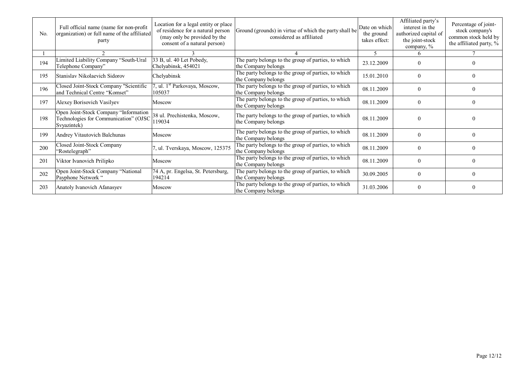| No. | Full official name (name for non-profit<br>organization) or full name of the affiliated<br>party | Location for a legal entity or place<br>of residence for a natural person<br>(may only be provided by the<br>consent of a natural person) | Ground (grounds) in virtue of which the party shall be<br>considered as affiliated | Date on which<br>the ground<br>takes effect: | Affiliated party's<br>interest in the<br>authorized capital of<br>the joint-stock<br>company, % | Percentage of joint-<br>stock company's<br>common stock held by<br>the affiliated party, % |
|-----|--------------------------------------------------------------------------------------------------|-------------------------------------------------------------------------------------------------------------------------------------------|------------------------------------------------------------------------------------|----------------------------------------------|-------------------------------------------------------------------------------------------------|--------------------------------------------------------------------------------------------|
|     |                                                                                                  |                                                                                                                                           |                                                                                    | 5                                            |                                                                                                 |                                                                                            |
| 194 | Limited Liability Company "South-Ural<br>Telephone Company"                                      | 33 B, ul. 40 Let Pobedy,<br>Chelyabinsk, 454021                                                                                           | The party belongs to the group of parties, to which<br>the Company belongs         | 23.12.2009                                   |                                                                                                 |                                                                                            |
| 195 | Stanislav Nikolaevich Sidorov                                                                    | Chelyabinsk                                                                                                                               | The party belongs to the group of parties, to which<br>the Company belongs         | 15.01.2010                                   |                                                                                                 | 0                                                                                          |
| 196 | Closed Joint-Stock Company "Scientific<br>and Technical Centre "Komset"                          | 7, ul. 1 <sup>st</sup> Parkovaya, Moscow,<br>105037                                                                                       | The party belongs to the group of parties, to which<br>the Company belongs         | 08.11.2009                                   | $\Omega$                                                                                        | 0                                                                                          |
| 197 | Alexey Borisovich Vasilyev                                                                       | Moscow                                                                                                                                    | The party belongs to the group of parties, to which<br>the Company belongs         | 08.11.2009                                   | $\theta$                                                                                        | 0                                                                                          |
| 198 | Open Joint-Stock Company "Information<br>Technologies for Communication" (OJSC<br>Svyazintek)    | 38 ul. Prechistenka, Moscow,<br>119034                                                                                                    | The party belongs to the group of parties, to which<br>the Company belongs         | 08.11.2009                                   |                                                                                                 |                                                                                            |
| 199 | Andrey Vitautovich Balchunas                                                                     | Moscow                                                                                                                                    | The party belongs to the group of parties, to which<br>the Company belongs         | 08.11.2009                                   | $\Omega$                                                                                        | 0                                                                                          |
| 200 | Closed Joint-Stock Company<br>'Rostelegraph"                                                     | ul. Tverskaya, Moscow, 125375                                                                                                             | The party belongs to the group of parties, to which<br>the Company belongs         | 08.11.2009                                   |                                                                                                 | 0                                                                                          |
| 201 | Viktor Ivanovich Prilipko                                                                        | Moscow                                                                                                                                    | The party belongs to the group of parties, to which<br>the Company belongs         | 08.11.2009                                   |                                                                                                 | 0                                                                                          |
| 202 | Open Joint-Stock Company "National<br>Payphone Network "                                         | 74 A, pr. Engelsa, St. Petersburg,<br>194214                                                                                              | The party belongs to the group of parties, to which<br>the Company belongs         | 30.09.2005                                   | $\Omega$                                                                                        | $\Omega$                                                                                   |
| 203 | Anatoly Ivanovich Afanasyev                                                                      | Moscow                                                                                                                                    | The party belongs to the group of parties, to which<br>the Company belongs         | 31.03.2006                                   | $\Omega$                                                                                        | 0                                                                                          |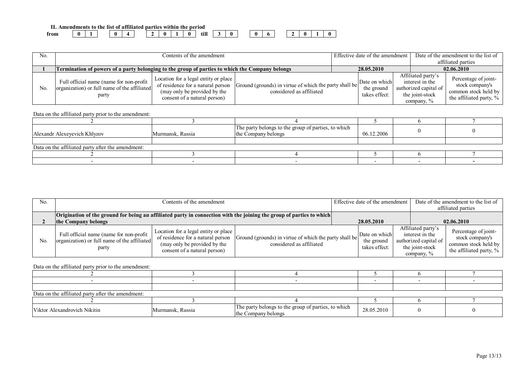| Amendments to the list of affiliated parties within the period |              |  |  |  |  |                        |  |  |  |  |  |
|----------------------------------------------------------------|--------------|--|--|--|--|------------------------|--|--|--|--|--|
| from                                                           | $\mathbf{0}$ |  |  |  |  | $\bullet$ m $^{\circ}$ |  |  |  |  |  |

| No.            | Contents of the amendment                                                                        |                                                                                                                                           |                                                                                    |  | Effective date of the amendment              |                                                                                                    | Date of the amendment to the list of<br>affiliated parties                                 |
|----------------|--------------------------------------------------------------------------------------------------|-------------------------------------------------------------------------------------------------------------------------------------------|------------------------------------------------------------------------------------|--|----------------------------------------------|----------------------------------------------------------------------------------------------------|--------------------------------------------------------------------------------------------|
|                | Termination of powers of a party belonging to the group of parties to which the Company belongs  |                                                                                                                                           |                                                                                    |  | 28.05.2010                                   |                                                                                                    | 02.06.2010                                                                                 |
| N <sub>0</sub> | Full official name (name for non-profit<br>organization) or full name of the affiliated<br>party | Location for a legal entity or place<br>of residence for a natural person<br>(may only be provided by the<br>consent of a natural person) | Ground (grounds) in virtue of which the party shall be<br>considered as affiliated |  | Date on which<br>the ground<br>takes effect: | Affiliated party's<br>interest in the<br>authorized capital of<br>the joint-stock<br>company, $\%$ | Percentage of joint-<br>stock company's<br>common stock held by<br>the affiliated party, % |

| Alexandr Alexevevich Khlyzov                      | Murmansk, Russia | The party belongs to the group of parties, to which<br>the Company belongs | 06.12.2006 |  |
|---------------------------------------------------|------------------|----------------------------------------------------------------------------|------------|--|
|                                                   |                  |                                                                            |            |  |
| Data on the affiliated party after the amendment: |                  |                                                                            |            |  |
|                                                   |                  |                                                                            |            |  |
|                                                   |                  |                                                                            |            |  |

| No. | Contents of the amendment                                                                                                                   |                                                                                                                                           |                                                                                    |  | Effective date of the amendment              |  |                                                                                                    | Date of the amendment to the list of<br>affiliated parties                                 |
|-----|---------------------------------------------------------------------------------------------------------------------------------------------|-------------------------------------------------------------------------------------------------------------------------------------------|------------------------------------------------------------------------------------|--|----------------------------------------------|--|----------------------------------------------------------------------------------------------------|--------------------------------------------------------------------------------------------|
|     | Origination of the ground for being an affiliated party in connection with the joining the group of parties to which<br>the Company belongs |                                                                                                                                           |                                                                                    |  | 28.05.2010                                   |  |                                                                                                    | 02.06.2010                                                                                 |
| No. | Full official name (name for non-profit<br>organization) or full name of the affiliated<br>party                                            | Location for a legal entity or place<br>of residence for a natural person<br>(may only be provided by the<br>consent of a natural person) | Ground (grounds) in virtue of which the party shall be<br>considered as affiliated |  | Date on which<br>the ground<br>takes effect: |  | Affiliated party's<br>interest in the<br>authorized capital of<br>the joint-stock<br>company, $\%$ | Percentage of joint-<br>stock company's<br>common stock held by<br>the affiliated party, % |

| Data on the affiliated party after the amendment: |                  |                                                                            |            |  |  |  |  |  |  |  |
|---------------------------------------------------|------------------|----------------------------------------------------------------------------|------------|--|--|--|--|--|--|--|
|                                                   |                  |                                                                            |            |  |  |  |  |  |  |  |
| Viktor Alexandrovich Nikitin                      | Murmansk, Russia | The party belongs to the group of parties, to which<br>the Company belongs | 28.05.2010 |  |  |  |  |  |  |  |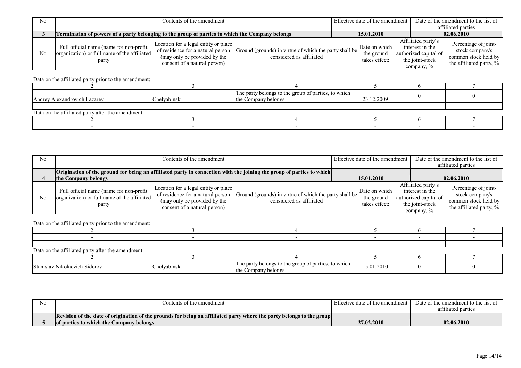| No.            |                                                                                                   |                                                                                                                                           | Effective date of the amendment                                                    | Date of the amendment to the list of |                                              |                                                                                                    |                                                                                            |
|----------------|---------------------------------------------------------------------------------------------------|-------------------------------------------------------------------------------------------------------------------------------------------|------------------------------------------------------------------------------------|--------------------------------------|----------------------------------------------|----------------------------------------------------------------------------------------------------|--------------------------------------------------------------------------------------------|
|                |                                                                                                   |                                                                                                                                           |                                                                                    |                                      |                                              |                                                                                                    | affiliated parties                                                                         |
|                | Termination of powers of a party belonging to the group of parties to which the Company belongs   |                                                                                                                                           |                                                                                    |                                      | 15.01.2010                                   |                                                                                                    | 02.06.2010                                                                                 |
| N <sub>0</sub> | Full official name (name for non-profit)<br>organization) or full name of the affiliated<br>party | Location for a legal entity or place<br>of residence for a natural person<br>(may only be provided by the<br>consent of a natural person) | Ground (grounds) in virtue of which the party shall be<br>considered as affiliated |                                      | Date on which<br>the ground<br>takes effect: | Affiliated party's<br>interest in the<br>authorized capital of<br>the joint-stock<br>company. $\%$ | Percentage of joint-<br>stock company's<br>common stock held by<br>the affiliated party, % |

| Andrey Alexandrovich Lazarev                      | Chelyabinsk | The party belongs to the group of parties, to which<br>the Company belongs | 23.12.2009 |  |
|---------------------------------------------------|-------------|----------------------------------------------------------------------------|------------|--|
|                                                   |             |                                                                            |            |  |
| Data on the affiliated party after the amendment: |             |                                                                            |            |  |
|                                                   |             |                                                                            |            |  |
|                                                   |             |                                                                            |            |  |

| No. | Contents of the amendment                                                                                                                          |                                                                                                                                           |                                                                                    |  | Effective date of the amendment              | Date of the amendment to the list of<br>affiliated parties                                         |                                                                                            |
|-----|----------------------------------------------------------------------------------------------------------------------------------------------------|-------------------------------------------------------------------------------------------------------------------------------------------|------------------------------------------------------------------------------------|--|----------------------------------------------|----------------------------------------------------------------------------------------------------|--------------------------------------------------------------------------------------------|
|     | <b>Origination of the ground for being an affiliated party in connection with the joining the group of parties to which</b><br>the Company belongs |                                                                                                                                           |                                                                                    |  | 15.01.2010                                   |                                                                                                    | 02.06.2010                                                                                 |
| No. | Full official name (name for non-profit<br>organization) or full name of the affiliated<br>party                                                   | Location for a legal entity or place<br>of residence for a natural person<br>(may only be provided by the<br>consent of a natural person) | Ground (grounds) in virtue of which the party shall be<br>considered as affiliated |  | Date on which<br>the ground<br>takes effect: | Affiliated party's<br>interest in the<br>authorized capital of<br>the joint-stock<br>company, $\%$ | Percentage of joint-<br>stock company's<br>common stock held by<br>the affiliated party, % |

| Data on the affiliated party after the amendment: |             |                                                                            |            |  |  |  |  |  |  |  |  |
|---------------------------------------------------|-------------|----------------------------------------------------------------------------|------------|--|--|--|--|--|--|--|--|
|                                                   |             |                                                                            |            |  |  |  |  |  |  |  |  |
| Stanislav Nikolaevich Sidorov                     | Chelyabinsk | The party belongs to the group of parties, to which<br>the Company belongs | 15.01.2010 |  |  |  |  |  |  |  |  |

| No. | Contents of the amendment                                                                                             | Effective date of the amendment | Date of the amendment to the list of |
|-----|-----------------------------------------------------------------------------------------------------------------------|---------------------------------|--------------------------------------|
|     |                                                                                                                       |                                 | affiliated parties                   |
|     | Revision of the date of origination of the grounds for being an affiliated party where the party belongs to the group |                                 |                                      |
|     | of parties to which the Company belongs                                                                               | 27.02.2010                      | 02.06.2010                           |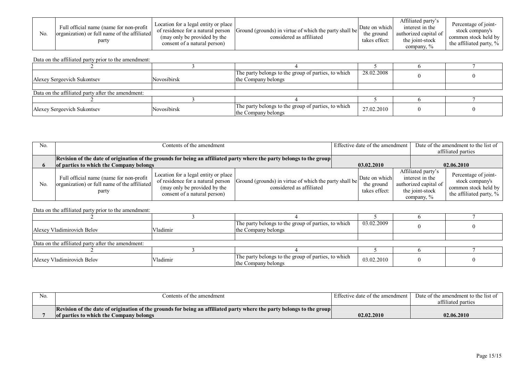| N <sub>o</sub> | Full official name (name for non-profit<br>organization) or full name of the affiliated<br>party | Location for a legal entity or place<br>of residence for a natural person<br>(may only be provided by the<br>consent of a natural person) | Ground (grounds) in virtue of which the party shall be<br>considered as affiliated | Date on which<br>the ground<br>takes effect: | Affiliated party's<br>interest in the<br>authorized capital of<br>the joint-stock<br>company, % | Percentage of joint-<br>stock company's<br>common stock held by<br>the affiliated party, $\%$ |
|----------------|--------------------------------------------------------------------------------------------------|-------------------------------------------------------------------------------------------------------------------------------------------|------------------------------------------------------------------------------------|----------------------------------------------|-------------------------------------------------------------------------------------------------|-----------------------------------------------------------------------------------------------|
|----------------|--------------------------------------------------------------------------------------------------|-------------------------------------------------------------------------------------------------------------------------------------------|------------------------------------------------------------------------------------|----------------------------------------------|-------------------------------------------------------------------------------------------------|-----------------------------------------------------------------------------------------------|

| Alexey Sergeevich Sukontsev                       | Novosibirsk | The party belongs to the group of parties, to which<br>the Company belongs | 28.02.2008 |  |
|---------------------------------------------------|-------------|----------------------------------------------------------------------------|------------|--|
|                                                   |             |                                                                            |            |  |
| Data on the affiliated party after the amendment: |             |                                                                            |            |  |
|                                                   |             |                                                                            |            |  |
| Alexey Sergeevich Sukontsey                       | Novosibirsk | The party belongs to the group of parties, to which<br>the Company belongs | 27.02.2010 |  |

| No. |                                                                                                                       | Contents of the amendment                                                                                                                 |                                                                                    |  | Effective date of the amendment              |  |                                                                                                    | Date of the amendment to the list of                                                       |  |
|-----|-----------------------------------------------------------------------------------------------------------------------|-------------------------------------------------------------------------------------------------------------------------------------------|------------------------------------------------------------------------------------|--|----------------------------------------------|--|----------------------------------------------------------------------------------------------------|--------------------------------------------------------------------------------------------|--|
|     |                                                                                                                       |                                                                                                                                           |                                                                                    |  |                                              |  |                                                                                                    | affiliated parties                                                                         |  |
|     | Revision of the date of origination of the grounds for being an affiliated party where the party belongs to the group |                                                                                                                                           |                                                                                    |  |                                              |  |                                                                                                    |                                                                                            |  |
|     | of parties to which the Company belongs                                                                               |                                                                                                                                           | 03.02.2010                                                                         |  | 02.06.2010                                   |  |                                                                                                    |                                                                                            |  |
| No. | Full official name (name for non-profit  <br>organization) or full name of the affiliated<br>party                    | Location for a legal entity or place<br>of residence for a natural person<br>(may only be provided by the<br>consent of a natural person) | Ground (grounds) in virtue of which the party shall be<br>considered as affiliated |  | Date on which<br>the ground<br>takes effect: |  | Affiliated party's<br>interest in the<br>authorized capital of<br>the joint-stock<br>company, $\%$ | Percentage of joint-<br>stock company's<br>common stock held by<br>the affiliated party, % |  |

| Alexey Vladimirovich Belov                        | Vladimir | The party belongs to the group of parties, to which<br>the Company belongs | 03.02.2009 |  |
|---------------------------------------------------|----------|----------------------------------------------------------------------------|------------|--|
|                                                   |          |                                                                            |            |  |
| Data on the affiliated party after the amendment: |          |                                                                            |            |  |
|                                                   |          |                                                                            |            |  |
| Alexey Vladimirovich Belov                        | Vladimir | The party belongs to the group of parties, to which<br>the Company belongs | 03.02.2010 |  |

| No. | Contents of the amendment                                                                                             | I Effective date of the amendment | Date of the amendment to the list of |
|-----|-----------------------------------------------------------------------------------------------------------------------|-----------------------------------|--------------------------------------|
|     |                                                                                                                       |                                   | affiliated parties                   |
|     | Revision of the date of origination of the grounds for being an affiliated party where the party belongs to the group |                                   |                                      |
|     | of parties to which the Company belongs                                                                               | 02.02.2010                        | 02.06.2010                           |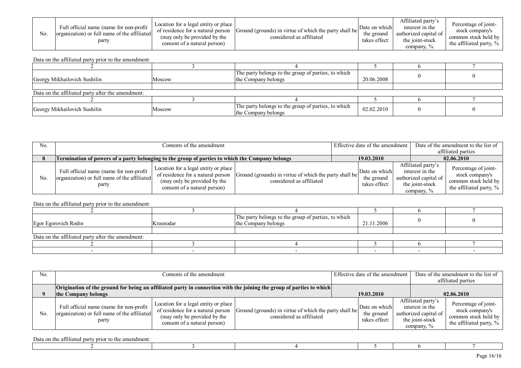| N <sub>0</sub> | Full official name (name for non-profit<br>organization) or full name of the affiliated<br>party | Location for a legal entity or place<br>of residence for a natural person<br>(may only be provided by the<br>consent of a natural person) | Ground (grounds) in virtue of which the party shall be<br>considered as affiliated | Date on which<br>the ground<br>takes effect: | Affiliated party's<br>interest in the<br>authorized capital of<br>the joint-stock<br>company, $\%$ | Percentage of joint-<br>stock company's<br>common stock held by<br>the affiliated party, $\%$ |
|----------------|--------------------------------------------------------------------------------------------------|-------------------------------------------------------------------------------------------------------------------------------------------|------------------------------------------------------------------------------------|----------------------------------------------|----------------------------------------------------------------------------------------------------|-----------------------------------------------------------------------------------------------|
|----------------|--------------------------------------------------------------------------------------------------|-------------------------------------------------------------------------------------------------------------------------------------------|------------------------------------------------------------------------------------|----------------------------------------------|----------------------------------------------------------------------------------------------------|-----------------------------------------------------------------------------------------------|

| Georgy Mikhailovich Sushilin                      | Moscow | The party belongs to the group of parties, to which<br>the Company belongs | 20.06.2008 |  |
|---------------------------------------------------|--------|----------------------------------------------------------------------------|------------|--|
|                                                   |        |                                                                            |            |  |
| Data on the affiliated party after the amendment: |        |                                                                            |            |  |
|                                                   |        |                                                                            |            |  |
| Georgy Mikhailovich Sushilin                      | Moscow | The party belongs to the group of parties, to which<br>the Company belongs | 02.02.2010 |  |

| No.            |                                                                                                  | Contents of the amendment                                                                                                                 |                                                                                    |  |                                              | Effective date of the amendment                                                                 | Date of the amendment to the list of                                                       |  |
|----------------|--------------------------------------------------------------------------------------------------|-------------------------------------------------------------------------------------------------------------------------------------------|------------------------------------------------------------------------------------|--|----------------------------------------------|-------------------------------------------------------------------------------------------------|--------------------------------------------------------------------------------------------|--|
|                |                                                                                                  |                                                                                                                                           |                                                                                    |  |                                              |                                                                                                 | affiliated parties                                                                         |  |
|                | Termination of powers of a party belonging to the group of parties to which the Company belongs  |                                                                                                                                           |                                                                                    |  | 19.03.2010                                   |                                                                                                 | 02.06.2010                                                                                 |  |
| N <sub>0</sub> | Full official name (name for non-profit<br>organization) or full name of the affiliated<br>party | Location for a legal entity or place<br>of residence for a natural person<br>(may only be provided by the<br>consent of a natural person) | Ground (grounds) in virtue of which the party shall be<br>considered as affiliated |  | Date on which<br>the ground<br>takes effect: | Affiliated party's<br>interest in the<br>authorized capital of<br>the joint-stock<br>company, % | Percentage of joint-<br>stock company's<br>common stock held by<br>the affiliated party, % |  |

Data on the affiliated party prior to the amendment:

| Egor Egorovich Rodin                              | Krasnodar | The party belongs to the group of parties, to which<br>the Company belongs | 21.11.2006 |  |
|---------------------------------------------------|-----------|----------------------------------------------------------------------------|------------|--|
|                                                   |           |                                                                            |            |  |
| Data on the affiliated party after the amendment: |           |                                                                            |            |  |
|                                                   |           |                                                                            |            |  |
|                                                   |           |                                                                            |            |  |

| N <sub>o</sub> | Contents of the amendment                                                                                                                   |                                                                                                                                           |                                                                                    |            | Effective date of the amendment              |  |                                                                                                    | Date of the amendment to the list of<br>affiliated parties                                    |  |
|----------------|---------------------------------------------------------------------------------------------------------------------------------------------|-------------------------------------------------------------------------------------------------------------------------------------------|------------------------------------------------------------------------------------|------------|----------------------------------------------|--|----------------------------------------------------------------------------------------------------|-----------------------------------------------------------------------------------------------|--|
|                | Origination of the ground for being an affiliated party in connection with the joining the group of parties to which<br>the Company belongs |                                                                                                                                           |                                                                                    | 19.03.2010 |                                              |  | 02.06.2010                                                                                         |                                                                                               |  |
| N <sub>0</sub> | Full official name (name for non-profit<br>organization) or full name of the affiliated<br>party                                            | Location for a legal entity or place<br>of residence for a natural person<br>(may only be provided by the<br>consent of a natural person) | Ground (grounds) in virtue of which the party shall be<br>considered as affiliated |            | Date on which<br>the ground<br>takes effect: |  | Affiliated party's<br>interest in the<br>authorized capital of<br>the joint-stock<br>company, $\%$ | Percentage of joint-<br>stock company's<br>common stock held by<br>the affiliated party, $\%$ |  |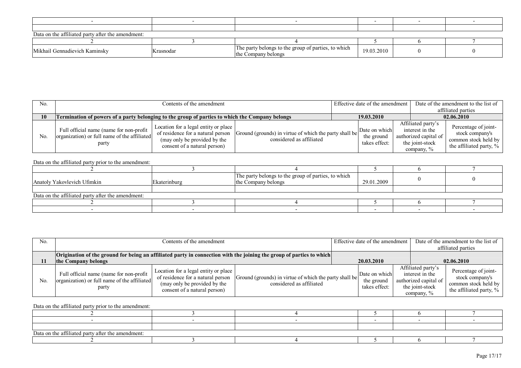| Data on the affiliated party after the amendment: |           |                                                                            |            |  |  |  |  |  |
|---------------------------------------------------|-----------|----------------------------------------------------------------------------|------------|--|--|--|--|--|
|                                                   |           |                                                                            |            |  |  |  |  |  |
| Mikhail Gennadievich Kaminsky                     | Krasnodar | The party belongs to the group of parties, to which<br>the Company belongs | 19.03.2010 |  |  |  |  |  |

| No. | Contents of the amendment                                                                        |                                                                                                                                           |                                                                                    | Effective date of the amendment |                                              | Date of the amendment to the list of                                                            |            |                                                                                               |
|-----|--------------------------------------------------------------------------------------------------|-------------------------------------------------------------------------------------------------------------------------------------------|------------------------------------------------------------------------------------|---------------------------------|----------------------------------------------|-------------------------------------------------------------------------------------------------|------------|-----------------------------------------------------------------------------------------------|
|     |                                                                                                  |                                                                                                                                           |                                                                                    |                                 |                                              | affiliated parties                                                                              |            |                                                                                               |
| 10  | Termination of powers of a party belonging to the group of parties to which the Company belongs  |                                                                                                                                           |                                                                                    |                                 | 19.03.2010                                   |                                                                                                 | 02.06.2010 |                                                                                               |
| No  | Full official name (name for non-profit<br>organization) or full name of the affiliated<br>party | Location for a legal entity or place<br>of residence for a natural person<br>(may only be provided by the<br>consent of a natural person) | Ground (grounds) in virtue of which the party shall be<br>considered as affiliated |                                 | Date on which<br>the ground<br>takes effect: | Affiliated party's<br>interest in the<br>authorized capital of<br>the joint-stock<br>company, % |            | Percentage of joint-<br>stock company's<br>common stock held by<br>the affiliated party, $\%$ |

| Anatoly Yakovlevich Ufimkin                       | Ekaterinburg | The party belongs to the group of parties, to which<br>the Company belongs | 29.01.2009 |  |
|---------------------------------------------------|--------------|----------------------------------------------------------------------------|------------|--|
|                                                   |              |                                                                            |            |  |
| Data on the affiliated party after the amendment: |              |                                                                            |            |  |
|                                                   |              |                                                                            |            |  |
|                                                   |              |                                                                            |            |  |

| No. | Contents of the amendment                                                                                            |                                                                                                                                           |                                                                                    | Effective date of the amendment              |                                                                                                    | Date of the amendment to the list of<br>affiliated parties                                 |  |
|-----|----------------------------------------------------------------------------------------------------------------------|-------------------------------------------------------------------------------------------------------------------------------------------|------------------------------------------------------------------------------------|----------------------------------------------|----------------------------------------------------------------------------------------------------|--------------------------------------------------------------------------------------------|--|
|     | Origination of the ground for being an affiliated party in connection with the joining the group of parties to which |                                                                                                                                           |                                                                                    |                                              |                                                                                                    |                                                                                            |  |
|     | the Company belongs                                                                                                  |                                                                                                                                           |                                                                                    | 20.03.2010                                   |                                                                                                    | 02.06.2010                                                                                 |  |
| No. | Full official name (name for non-profit<br>organization) or full name of the affiliated<br>party                     | Location for a legal entity or place<br>of residence for a natural person<br>(may only be provided by the<br>consent of a natural person) | Ground (grounds) in virtue of which the party shall be<br>considered as affiliated | Date on which<br>the ground<br>takes effect: | Affiliated party's<br>interest in the<br>authorized capital of<br>the joint-stock<br>company, $\%$ | Percentage of joint-<br>stock company's<br>common stock held by<br>the affiliated party, % |  |

| Data on the affiliated party after the amendment: |  |  |  |  |  |  |  |
|---------------------------------------------------|--|--|--|--|--|--|--|
|                                                   |  |  |  |  |  |  |  |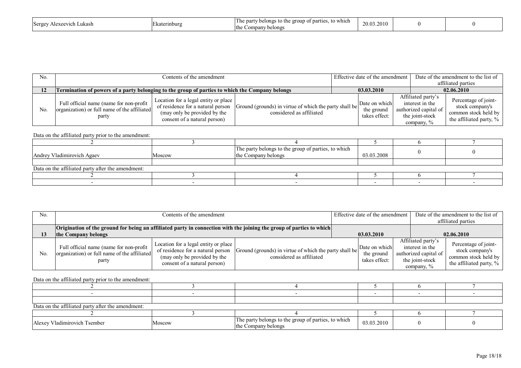| Sergey<br>Lukash<br>Lavaatrich | raterinburg | o which<br>$\pm$ the $\pm$<br>group of parti<br>e party<br>∙ h≙l<br>$\sim$<br>1 H<br>the<br>Company belongs | 2010<br>20 U |  |  |
|--------------------------------|-------------|-------------------------------------------------------------------------------------------------------------|--------------|--|--|
|--------------------------------|-------------|-------------------------------------------------------------------------------------------------------------|--------------|--|--|

| No.            | Contents of the amendment                                                                         |                                                                                                                                           |                                                                                    | Effective date of the amendment              |  | Date of the amendment to the list of                                                            |                                                                                            |
|----------------|---------------------------------------------------------------------------------------------------|-------------------------------------------------------------------------------------------------------------------------------------------|------------------------------------------------------------------------------------|----------------------------------------------|--|-------------------------------------------------------------------------------------------------|--------------------------------------------------------------------------------------------|
|                |                                                                                                   |                                                                                                                                           |                                                                                    |                                              |  |                                                                                                 | affiliated parties                                                                         |
| 12             | Termination of powers of a party belonging to the group of parties to which the Company belongs   |                                                                                                                                           | 03.03.2010                                                                         |                                              |  | 02.06.2010                                                                                      |                                                                                            |
| N <sub>0</sub> | Full official name (name for non-profit)<br>organization) or full name of the affiliated<br>party | Location for a legal entity or place<br>of residence for a natural person<br>(may only be provided by the<br>consent of a natural person) | Ground (grounds) in virtue of which the party shall be<br>considered as affiliated | Date on which<br>the ground<br>takes effect: |  | Affiliated party's<br>interest in the<br>authorized capital of<br>the joint-stock<br>company, % | Percentage of joint-<br>stock company's<br>common stock held by<br>the affiliated party, % |

| .                                                 |        |                                                                            |            |  |
|---------------------------------------------------|--------|----------------------------------------------------------------------------|------------|--|
| Andrey Vladimirovich Agaev                        | Moscow | The party belongs to the group of parties, to which<br>the Company belongs | 03.03.2008 |  |
|                                                   |        |                                                                            |            |  |
| Data on the affiliated party after the amendment: |        |                                                                            |            |  |
|                                                   |        |                                                                            |            |  |
|                                                   |        |                                                                            |            |  |

| No. |                                                                                                                      | Contents of the amendment                                                                                                                 |                                                                                    |  | Effective date of the amendment b            |  | Date of the amendment to the list of                                                               |                                                                                               |
|-----|----------------------------------------------------------------------------------------------------------------------|-------------------------------------------------------------------------------------------------------------------------------------------|------------------------------------------------------------------------------------|--|----------------------------------------------|--|----------------------------------------------------------------------------------------------------|-----------------------------------------------------------------------------------------------|
|     |                                                                                                                      |                                                                                                                                           |                                                                                    |  |                                              |  |                                                                                                    | affiliated parties                                                                            |
|     | Origination of the ground for being an affiliated party in connection with the joining the group of parties to which |                                                                                                                                           |                                                                                    |  |                                              |  |                                                                                                    |                                                                                               |
|     | the Company belongs                                                                                                  |                                                                                                                                           |                                                                                    |  | 03.03.2010                                   |  |                                                                                                    | 02.06.2010                                                                                    |
| No. | Full official name (name for non-profit)<br>organization) or full name of the affiliated<br>party                    | Location for a legal entity or place<br>of residence for a natural person<br>(may only be provided by the<br>consent of a natural person) | Ground (grounds) in virtue of which the party shall be<br>considered as affiliated |  | Date on which<br>the ground<br>takes effect: |  | Affiliated party's<br>interest in the<br>authorized capital of<br>the joint-stock<br>company, $\%$ | Percentage of joint-<br>stock company's<br>common stock held by<br>the affiliated party, $\%$ |

| Data on the affiliated party after the amendment: |        |                                                                            |            |  |
|---------------------------------------------------|--------|----------------------------------------------------------------------------|------------|--|
|                                                   |        |                                                                            |            |  |
| Alexey Vladimirovich Tsember                      | Moscow | The party belongs to the group of parties, to which<br>the Company belongs | 03.03.2010 |  |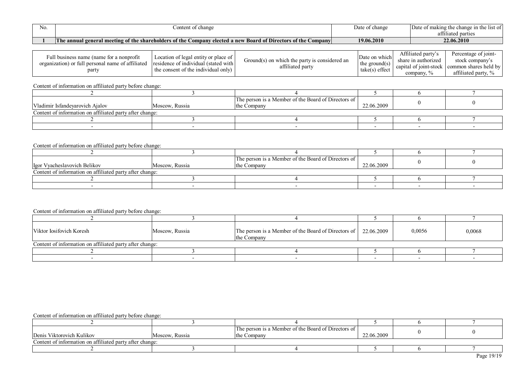| 'NO. | ontent of<br>t change                                                                                                                                    | Date of change | Date<br>change in th<br>$\gamma$ t making the $\epsilon$<br>list of |
|------|----------------------------------------------------------------------------------------------------------------------------------------------------------|----------------|---------------------------------------------------------------------|
|      |                                                                                                                                                          |                | nor 1<br>affiliated<br>' narties.<br>. vai tius                     |
|      | v Board of Directors of the <b>O</b><br>$\Box$ The annual general meeting of the shareholders of the $\Box$<br><b>Company</b><br>Company elected a new . | 19.06.2010     | 22.06.2010                                                          |

| Full business name (name for a nonprofit          |                                      |                                               | . .              | Affiliated party's     | Percentage of joint-  |
|---------------------------------------------------|--------------------------------------|-----------------------------------------------|------------------|------------------------|-----------------------|
| organization) or full personal name of affiliated | Location of legal entity or place of | Ground(s) on which the party is considered an | Date on which    | share in authorized    | stock company's       |
|                                                   | residence of individual (stated with | affiliated party                              | the ground(s)    | capital of joint-stock | common shares held by |
| party                                             | the consent of the individual only   |                                               | $take(s)$ effec. | company,               | attiliated party,     |

|                                                          |                | The person is a Member of the Board of Directors of |            |  |
|----------------------------------------------------------|----------------|-----------------------------------------------------|------------|--|
| Vladimir Isfandevarovich Ajalov                          | Moscow, Russia | the Company                                         | 22.06.2009 |  |
| Content of information on affiliated party after change: |                |                                                     |            |  |
|                                                          |                |                                                     |            |  |
|                                                          |                |                                                     |            |  |

# Content of information on affiliated party before change:

|                                                          |                | The person is a Member of the Board of Directors of |            |  |
|----------------------------------------------------------|----------------|-----------------------------------------------------|------------|--|
| Igor Vyacheslavovich Belikov                             | Moscow, Russia | the Company                                         | 22.06.2009 |  |
| Content of information on affiliated party after change: |                |                                                     |            |  |
|                                                          |                |                                                     |            |  |
|                                                          |                |                                                     |            |  |

# Content of information on affiliated party before change:

| Viktor Iosifovich Koresh | Moscow, Russia                                           | The person is a Member of the Board of Directors of $\vert$ 22.06.2009<br>the Company |  | 0,0056 | 0,0068 |  |  |  |  |
|--------------------------|----------------------------------------------------------|---------------------------------------------------------------------------------------|--|--------|--------|--|--|--|--|
|                          | Content of information on affiliated party after change: |                                                                                       |  |        |        |  |  |  |  |
|                          |                                                          |                                                                                       |  |        |        |  |  |  |  |
|                          |                                                          |                                                                                       |  |        |        |  |  |  |  |

| Denis Viktorovich Kulikov | Moscow, Russia                                           | The person is a Member of the Board of Directors of<br>the Company | 22.06.2009 |  |  |  |  |  |  |  |
|---------------------------|----------------------------------------------------------|--------------------------------------------------------------------|------------|--|--|--|--|--|--|--|
|                           | Content of information on affiliated party after change: |                                                                    |            |  |  |  |  |  |  |  |
|                           |                                                          |                                                                    |            |  |  |  |  |  |  |  |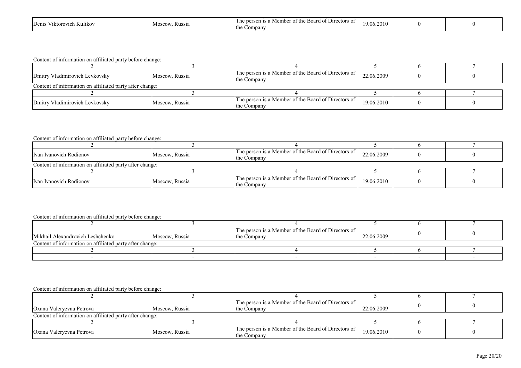| - -<br>. Kulikov<br>''KTOLOVIA | Kussia<br>MOSC. | $\sim$ $-$<br>. Direct<br>- Boaro<br>tors of .<br>rsot.<br>,,,<br>-the<br>∠ompanv | 19 06<br>2010 |  |  |
|--------------------------------|-----------------|-----------------------------------------------------------------------------------|---------------|--|--|
|--------------------------------|-----------------|-----------------------------------------------------------------------------------|---------------|--|--|

| Dmitry Vladimirovich Levkovsky                           | Moscow, Russia | The person is a Member of the Board of Directors of<br>the Company | 22.06.2009 |  |  |  |  |  |
|----------------------------------------------------------|----------------|--------------------------------------------------------------------|------------|--|--|--|--|--|
| Content of information on affiliated party after change: |                |                                                                    |            |  |  |  |  |  |
|                                                          |                |                                                                    |            |  |  |  |  |  |
| Dmitry Vladimirovich Levkovsky                           | Moscow, Russia | The person is a Member of the Board of Directors of<br>the Company | 19.06.2010 |  |  |  |  |  |

#### Content of information on affiliated party before change:

| Ivan Ivanovich Rodionov | Moscow, Russia                                           | The person is a Member of the Board of Directors of<br>the Company | 22.06.2009 |  |  |  |  |  |
|-------------------------|----------------------------------------------------------|--------------------------------------------------------------------|------------|--|--|--|--|--|
|                         | Content of information on affiliated party after change: |                                                                    |            |  |  |  |  |  |
|                         |                                                          |                                                                    |            |  |  |  |  |  |
| Ivan Ivanovich Rodionov | Moscow, Russia                                           | The person is a Member of the Board of Directors of<br>the Company | 19.06.2010 |  |  |  |  |  |

# Content of information on affiliated party before change:

|                                  |                                                          | The person is a Member of the Board of Directors of |            |  |  |  |  |  |  |  |
|----------------------------------|----------------------------------------------------------|-----------------------------------------------------|------------|--|--|--|--|--|--|--|
| Mikhail Alexandrovich Leshchenko | Moscow, Russia                                           | the Company                                         | 22.06.2009 |  |  |  |  |  |  |  |
|                                  | Content of information on affiliated party after change: |                                                     |            |  |  |  |  |  |  |  |
|                                  |                                                          |                                                     |            |  |  |  |  |  |  |  |
|                                  |                                                          |                                                     |            |  |  |  |  |  |  |  |

| Oxana Valeryevna Petrova                                 | Moscow, Russia | The person is a Member of the Board of Directors of<br>the Company  | 22.06.2009 |  |  |  |  |
|----------------------------------------------------------|----------------|---------------------------------------------------------------------|------------|--|--|--|--|
| Content of information on affiliated party after change: |                |                                                                     |            |  |  |  |  |
|                                                          |                |                                                                     |            |  |  |  |  |
| Oxana Valeryevna Petrova                                 | Moscow, Russia | The person is a Member of the Board of Directors of<br>lthe Company | 19.06.2010 |  |  |  |  |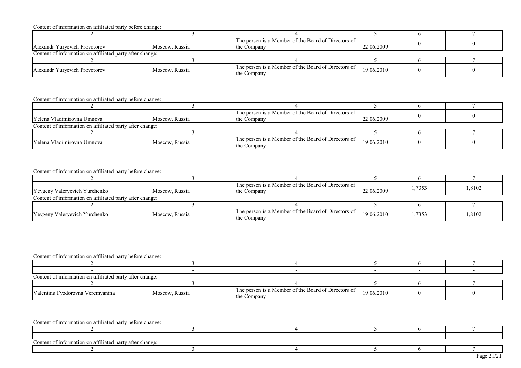|                                                          |                | The person is a Member of the Board of Directors of                |            |  |
|----------------------------------------------------------|----------------|--------------------------------------------------------------------|------------|--|
| Alexandr Yurvevich Provotorov                            | Moscow. Russia | the Company                                                        | 22.06.2009 |  |
| Content of information on affiliated party after change: |                |                                                                    |            |  |
|                                                          |                |                                                                    |            |  |
| Alexandr Yurvevich Provotorov                            | Moscow, Russia | The person is a Member of the Board of Directors of<br>the Company | 19.06.2010 |  |

#### Content of information on affiliated party before change:

|                                                          |                | The person is a Member of the Board of Directors of                |            |  |  |  |  |
|----------------------------------------------------------|----------------|--------------------------------------------------------------------|------------|--|--|--|--|
| <b>TYelena Vladimirovna Umnova</b>                       | Moscow, Russia | lthe Company                                                       | 22.06.2009 |  |  |  |  |
| Content of information on affiliated party after change: |                |                                                                    |            |  |  |  |  |
|                                                          |                |                                                                    |            |  |  |  |  |
| Yelena Vladimirovna Umnova                               | Moscow, Russia | The person is a Member of the Board of Directors of<br>the Company | 19.06.2010 |  |  |  |  |

#### Content of information on affiliated party before change:

| Yevgeny Valeryevich Yurchenko                            | Moscow. Russia | The person is a Member of the Board of Directors of<br>the Company | 22.06.2009 | . 7353 | 1,8102 |  |  |  |
|----------------------------------------------------------|----------------|--------------------------------------------------------------------|------------|--------|--------|--|--|--|
| Content of information on affiliated party after change: |                |                                                                    |            |        |        |  |  |  |
|                                                          |                |                                                                    |            |        |        |  |  |  |
| Yevgeny Valeryevich Yurchenko                            | Moscow, Russia | The person is a Member of the Board of Directors of<br>the Company | 19.06.2010 | .7353  | 1,8102 |  |  |  |

# Content of information on affiliated party before change:

| Content of information on affiliated party after change: |                |                                                                    |            |  |
|----------------------------------------------------------|----------------|--------------------------------------------------------------------|------------|--|
|                                                          |                |                                                                    |            |  |
| Valentina Fyodorovna Veremyanina                         | Moscow, Russia | The person is a Member of the Board of Directors of<br>the Company | 19.06.2010 |  |

| o t t<br>----<br>1101c<br>. allllaw . | l party after change: |  |  |  |  |  |  |  |  |
|---------------------------------------|-----------------------|--|--|--|--|--|--|--|--|
|                                       |                       |  |  |  |  |  |  |  |  |